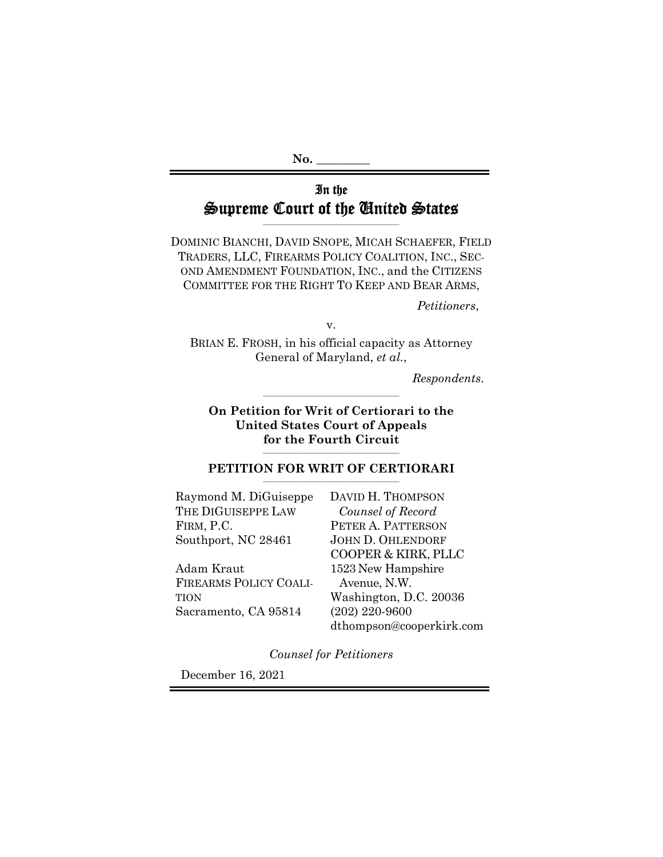**No. \_\_\_\_\_\_\_\_\_** 

# In the Supreme Court of the United States

**\_\_\_\_\_\_\_\_\_\_\_\_\_\_\_\_\_\_\_\_\_\_\_\_\_\_\_\_\_\_\_\_\_\_\_\_\_\_\_\_\_\_** 

DOMINIC BIANCHI, DAVID SNOPE, MICAH SCHAEFER, FIELD TRADERS, LLC, FIREARMS POLICY COALITION, INC., SEC-OND AMENDMENT FOUNDATION, INC., and the CITIZENS COMMITTEE FOR THE RIGHT TO KEEP AND BEAR ARMS,

*Petitioners*,

v.

BRIAN E. FROSH, in his official capacity as Attorney General of Maryland, *et al.*,

*Respondents*.

**On Petition for Writ of Certiorari to the United States Court of Appeals for the Fourth Circuit** 

**\_\_\_\_\_\_\_\_\_\_\_\_\_\_\_\_\_\_\_\_\_\_\_\_\_\_\_\_\_\_\_\_\_\_\_\_\_\_\_\_\_\_** 

#### **\_\_\_\_\_\_\_\_\_\_\_\_\_\_\_\_\_\_\_\_\_\_\_\_\_\_\_\_\_\_\_\_\_\_\_\_\_\_\_\_\_\_**  PETITION FOR WRIT OF CERTIORARI

| Raymond M. DiGuiseppe         | DAVID H.T.          |
|-------------------------------|---------------------|
| THE DIGUISEPPE LAW            | Counsel of          |
| FIRM, P.C.                    | PETER A. P.         |
| Southport, NC 28461           | JOHN D. OF          |
|                               | <b>COOPER &amp;</b> |
| Adam Kraut                    | 1523 New H          |
| <b>FIREARMS POLICY COALI-</b> | Avenue, N           |
| <b>TION</b>                   | Washington          |
| Sacramento, CA 95814          | $(202)$ 220-9       |

**HOMPSON**  *Counsel of Record*  **ATTERSON HLENDORF** KIRK, PLLC Iampshire  $J.W.$ n, D.C. 20036  $(600)$ dthompson@cooperkirk.com

*Counsel for Petitioners* 

December 16, 2021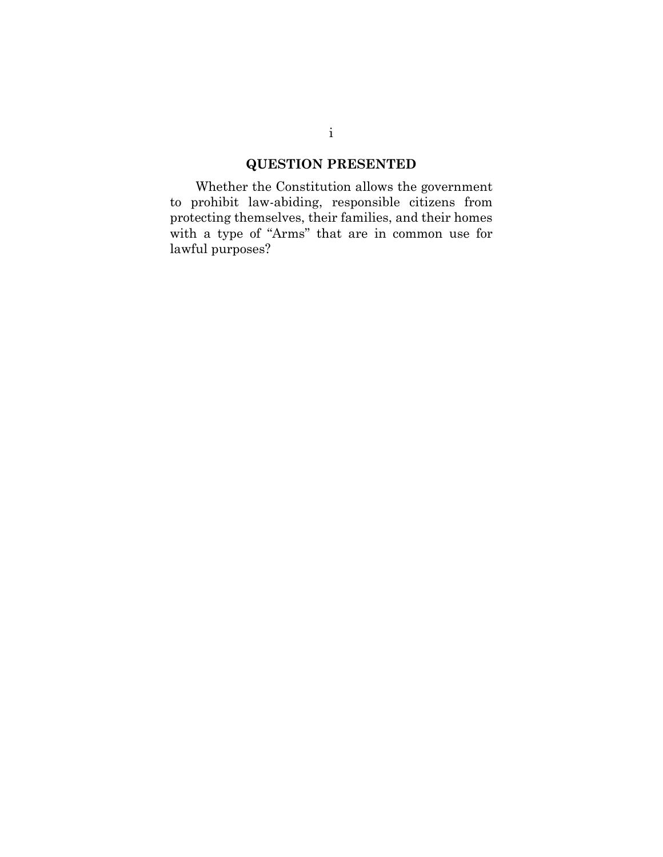# **QUESTION PRESENTED**

Whether the Constitution allows the government to prohibit law-abiding, responsible citizens from protecting themselves, their families, and their homes with a type of "Arms" that are in common use for lawful purposes?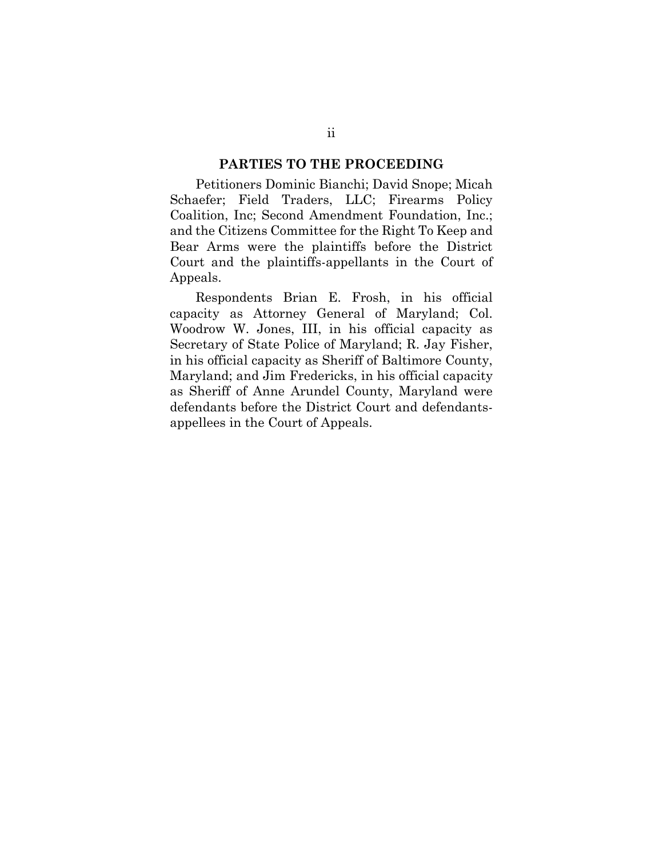#### **PARTIES TO THE PROCEEDING**

Petitioners Dominic Bianchi; David Snope; Micah Schaefer; Field Traders, LLC; Firearms Policy Coalition, Inc; Second Amendment Foundation, Inc.; and the Citizens Committee for the Right To Keep and Bear Arms were the plaintiffs before the District Court and the plaintiffs-appellants in the Court of Appeals.

Respondents Brian E. Frosh, in his official capacity as Attorney General of Maryland; Col. Woodrow W. Jones, III, in his official capacity as Secretary of State Police of Maryland; R. Jay Fisher, in his official capacity as Sheriff of Baltimore County, Maryland; and Jim Fredericks, in his official capacity as Sheriff of Anne Arundel County, Maryland were defendants before the District Court and defendantsappellees in the Court of Appeals.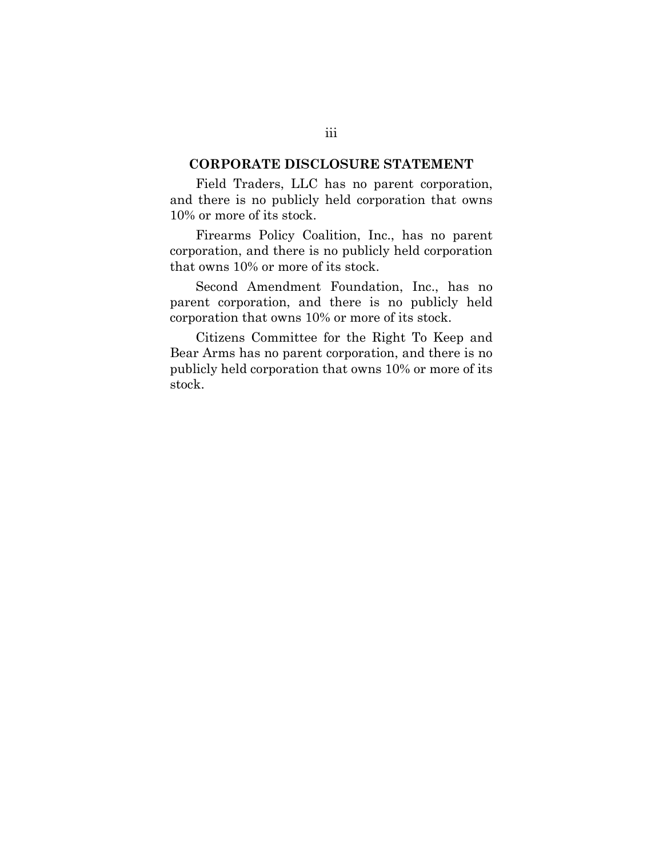#### **CORPORATE DISCLOSURE STATEMENT**

Field Traders, LLC has no parent corporation, and there is no publicly held corporation that owns 10% or more of its stock.

Firearms Policy Coalition, Inc., has no parent corporation, and there is no publicly held corporation that owns 10% or more of its stock.

Second Amendment Foundation, Inc., has no parent corporation, and there is no publicly held corporation that owns 10% or more of its stock.

Citizens Committee for the Right To Keep and Bear Arms has no parent corporation, and there is no publicly held corporation that owns 10% or more of its stock.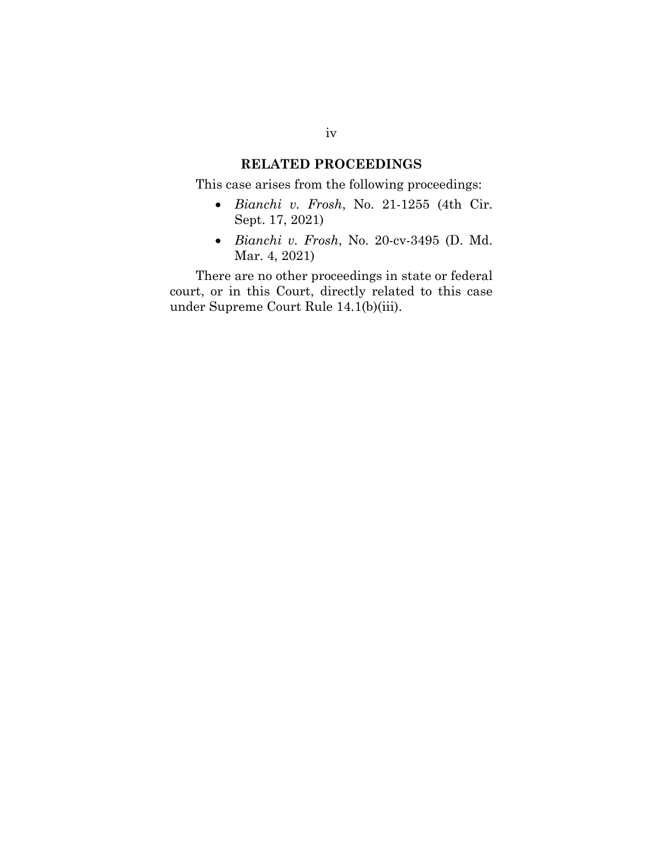### **RELATED PROCEEDINGS**

This case arises from the following proceedings:

- *Bianchi v. Frosh*, No. 21-1255 (4th Cir. Sept. 17, 2021)
- *Bianchi v. Frosh*, No. 20-cv-3495 (D. Md. Mar. 4, 2021)

There are no other proceedings in state or federal court, or in this Court, directly related to this case under Supreme Court Rule 14.1(b)(iii).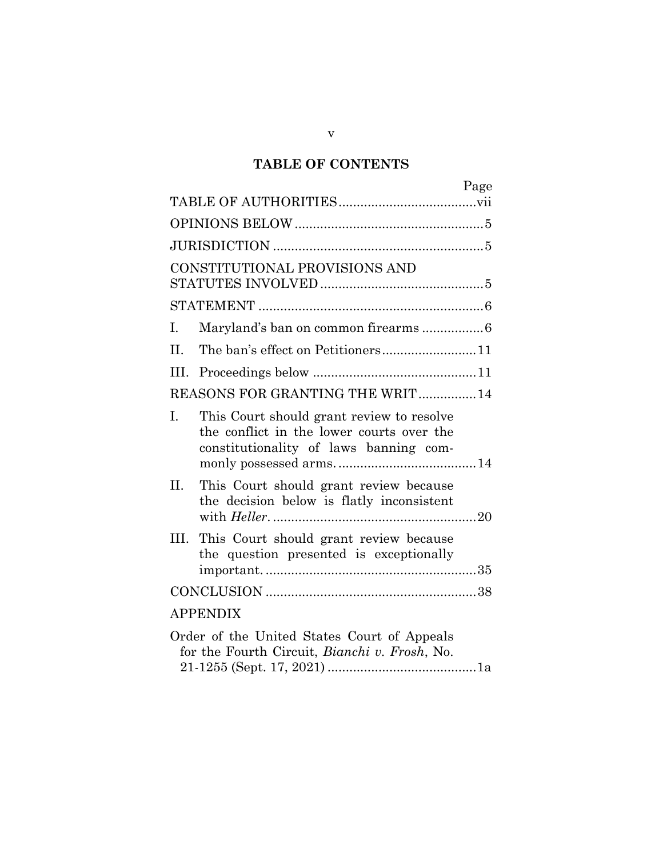## **TABLE OF CONTENTS**

| Page                                                                                                                                   |  |  |  |  |
|----------------------------------------------------------------------------------------------------------------------------------------|--|--|--|--|
|                                                                                                                                        |  |  |  |  |
|                                                                                                                                        |  |  |  |  |
|                                                                                                                                        |  |  |  |  |
| CONSTITUTIONAL PROVISIONS AND                                                                                                          |  |  |  |  |
|                                                                                                                                        |  |  |  |  |
|                                                                                                                                        |  |  |  |  |
| Maryland's ban on common firearms 6<br>I.                                                                                              |  |  |  |  |
| The ban's effect on Petitioners11<br>II.                                                                                               |  |  |  |  |
| III.                                                                                                                                   |  |  |  |  |
| REASONS FOR GRANTING THE WRIT 14                                                                                                       |  |  |  |  |
| I.<br>This Court should grant review to resolve<br>the conflict in the lower courts over the<br>constitutionality of laws banning com- |  |  |  |  |
| II.<br>This Court should grant review because<br>the decision below is flatly inconsistent                                             |  |  |  |  |
| III. This Court should grant review because<br>the question presented is exceptionally                                                 |  |  |  |  |
|                                                                                                                                        |  |  |  |  |
| <b>APPENDIX</b>                                                                                                                        |  |  |  |  |
| Order of the United States Court of Appeals<br>for the Fourth Circuit, <i>Bianchi v. Frosh</i> , No.                                   |  |  |  |  |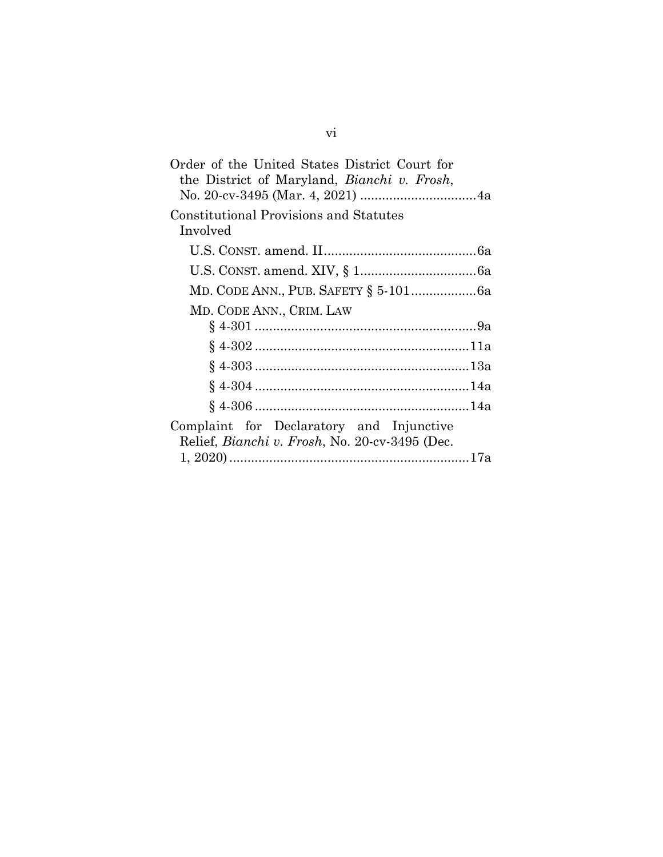| Order of the United States District Court for<br>the District of Maryland, Bianchi v. Frosh, |  |
|----------------------------------------------------------------------------------------------|--|
| Constitutional Provisions and Statutes<br>Involved                                           |  |
|                                                                                              |  |
|                                                                                              |  |
|                                                                                              |  |
| MD. CODE ANN., CRIM. LAW                                                                     |  |
|                                                                                              |  |
|                                                                                              |  |
|                                                                                              |  |
|                                                                                              |  |
|                                                                                              |  |
| Complaint for Declaratory and Injunctive<br>Relief, Bianchi v. Frosh, No. 20-cv-3495 (Dec.   |  |
|                                                                                              |  |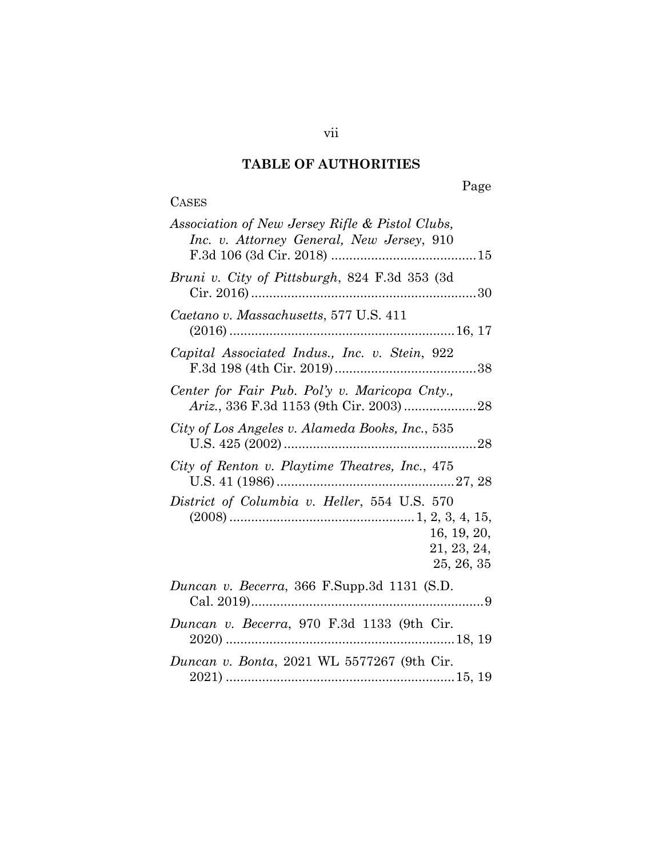# **TABLE OF AUTHORITIES**

# **CASES**

# Page

| Association of New Jersey Rifle & Pistol Clubs,<br>Inc. v. Attorney General, New Jersey, 910 |  |  |
|----------------------------------------------------------------------------------------------|--|--|
| Bruni v. City of Pittsburgh, 824 F.3d 353 (3d                                                |  |  |
| Caetano v. Massachusetts, 577 U.S. 411                                                       |  |  |
| Capital Associated Indus., Inc. v. Stein, 922                                                |  |  |
| Center for Fair Pub. Pol'y v. Maricopa Cnty.,                                                |  |  |
| City of Los Angeles v. Alameda Books, Inc., 535                                              |  |  |
| City of Renton v. Playtime Theatres, Inc., 475                                               |  |  |
| District of Columbia v. Heller, 554 U.S. 570<br>16, 19, 20,<br>21, 23, 24,<br>25, 26, 35     |  |  |
| Duncan v. Becerra, 366 F.Supp.3d 1131 (S.D.                                                  |  |  |
| Duncan v. Becerra, 970 F.3d 1133 (9th Cir.                                                   |  |  |
| Duncan v. Bonta, 2021 WL 5577267 (9th Cir.                                                   |  |  |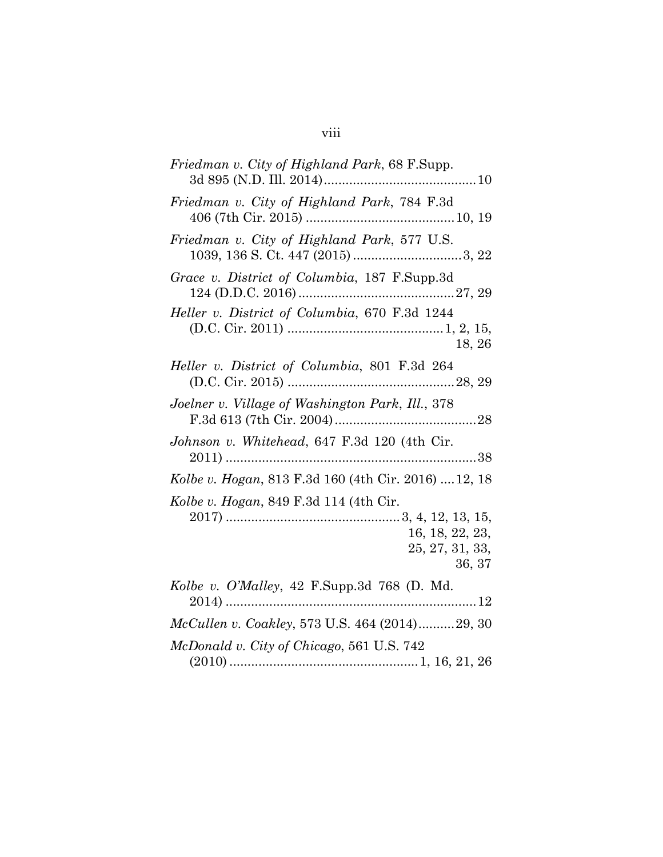# viii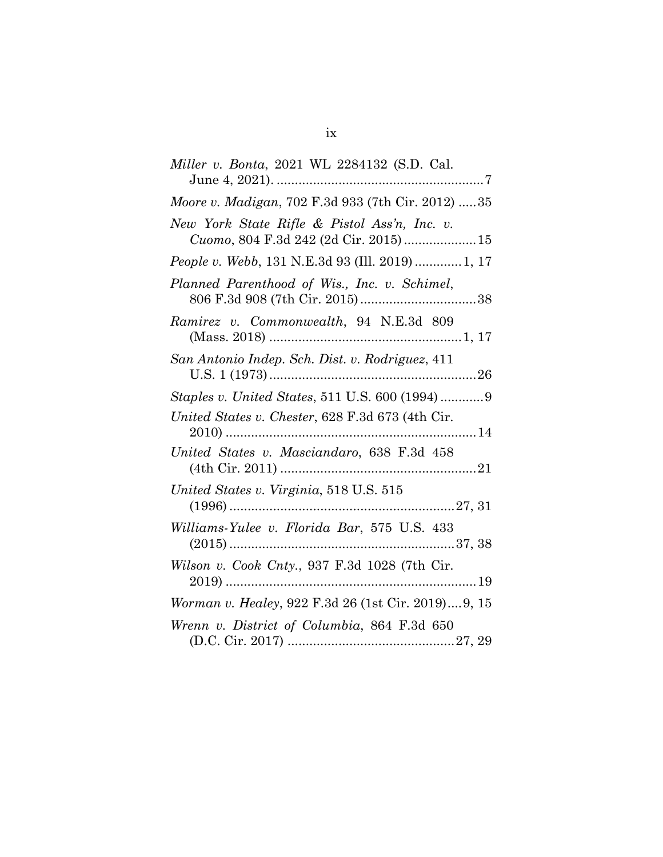| <i>Miller v. Bonta, 2021 WL 2284132 (S.D. Cal.</i>                                   |
|--------------------------------------------------------------------------------------|
| Moore v. Madigan, 702 F.3d 933 (7th Cir. 2012)  35                                   |
| New York State Rifle & Pistol Ass'n, Inc. v.<br>Cuomo, 804 F.3d 242 (2d Cir. 2015)15 |
| People v. Webb, 131 N.E.3d 93 (Ill. 2019)  1, 17                                     |
| Planned Parenthood of Wis., Inc. v. Schimel,                                         |
| Ramirez v. Commonwealth, 94 N.E.3d 809                                               |
| San Antonio Indep. Sch. Dist. v. Rodriguez, 411                                      |
| Staples v. United States, 511 U.S. 600 (1994)9                                       |
| United States v. Chester, 628 F.3d 673 (4th Cir.                                     |
| United States v. Masciandaro, 638 F.3d 458                                           |
| United States v. Virginia, 518 U.S. 515                                              |
| Williams-Yulee v. Florida Bar, 575 U.S. 433                                          |
| Wilson v. Cook Cnty., 937 F.3d 1028 (7th Cir.<br>$2019)$                             |
| Worman v. Healey, 922 F.3d 26 (1st Cir. 2019)9, 15                                   |
| Wrenn v. District of Columbia, 864 F.3d 650                                          |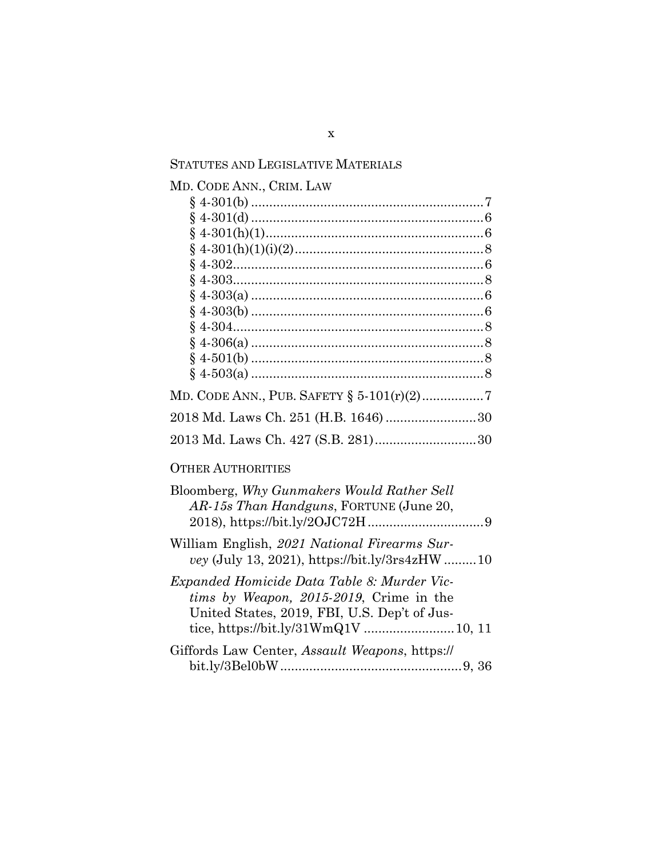| <b>STATUTES AND LEGISLATIVE MATERIALS</b>                                                                                                                                      |  |  |
|--------------------------------------------------------------------------------------------------------------------------------------------------------------------------------|--|--|
| MD. CODE ANN., CRIM. LAW                                                                                                                                                       |  |  |
|                                                                                                                                                                                |  |  |
|                                                                                                                                                                                |  |  |
|                                                                                                                                                                                |  |  |
|                                                                                                                                                                                |  |  |
|                                                                                                                                                                                |  |  |
| Ş                                                                                                                                                                              |  |  |
|                                                                                                                                                                                |  |  |
|                                                                                                                                                                                |  |  |
|                                                                                                                                                                                |  |  |
|                                                                                                                                                                                |  |  |
|                                                                                                                                                                                |  |  |
|                                                                                                                                                                                |  |  |
| MD. CODE ANN., PUB. SAFETY $\S 5-101(r)(2)$ 7                                                                                                                                  |  |  |
| 2018 Md. Laws Ch. 251 (H.B. 1646) 30                                                                                                                                           |  |  |
| 2013 Md. Laws Ch. 427 (S.B. 281)30                                                                                                                                             |  |  |
| <b>OTHER AUTHORITIES</b>                                                                                                                                                       |  |  |
| Bloomberg, Why Gunmakers Would Rather Sell<br>AR-15s Than Handguns, FORTUNE (June 20,                                                                                          |  |  |
| William English, 2021 National Firearms Sur-<br>vey (July 13, 2021), https://bit.ly/3rs4zHW 10                                                                                 |  |  |
| Expanded Homicide Data Table 8: Murder Vic-<br>tims by Weapon, 2015-2019, Crime in the<br>United States, 2019, FBI, U.S. Dep't of Jus-<br>tice, https://bit.ly/31WmQ1V  10, 11 |  |  |
| Giffords Law Center, Assault Weapons, https://                                                                                                                                 |  |  |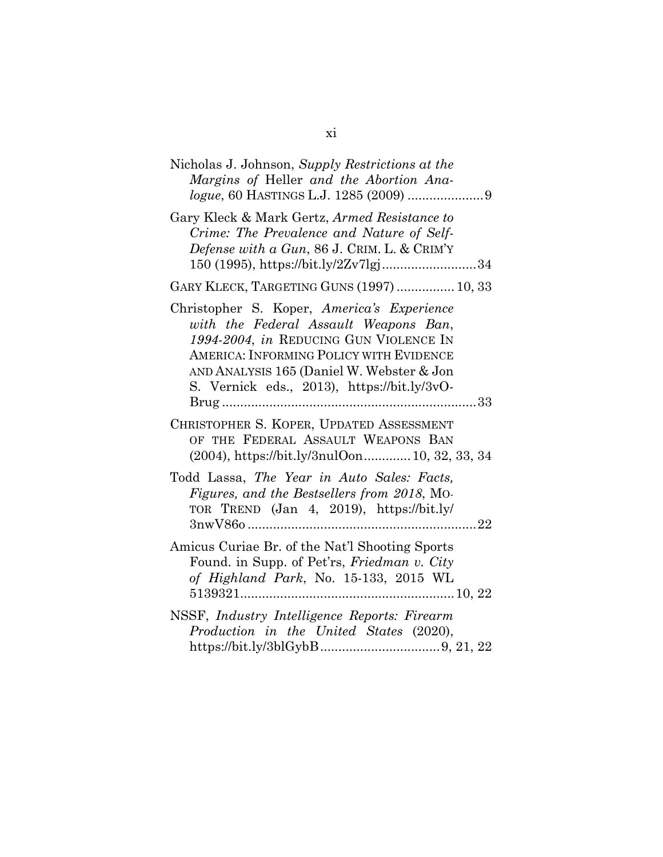| Nicholas J. Johnson, Supply Restrictions at the<br>Margins of Heller and the Abortion Ana-                                                                                                                                                                           |
|----------------------------------------------------------------------------------------------------------------------------------------------------------------------------------------------------------------------------------------------------------------------|
| Gary Kleck & Mark Gertz, Armed Resistance to<br>Crime: The Prevalence and Nature of Self-<br>Defense with a Gun, 86 J. CRIM. L. & CRIM'Y<br>150 (1995), https://bit.ly/2Zv7lgj34                                                                                     |
| GARY KLECK, TARGETING GUNS (1997)  10, 33                                                                                                                                                                                                                            |
| Christopher S. Koper, America's Experience<br>with the Federal Assault Weapons Ban,<br>1994-2004, in REDUCING GUN VIOLENCE IN<br>AMERICA: INFORMING POLICY WITH EVIDENCE<br>AND ANALYSIS 165 (Daniel W. Webster & Jon<br>S. Vernick eds., 2013), https://bit.ly/3vO- |
| CHRISTOPHER S. KOPER, UPDATED ASSESSMENT<br>OF THE FEDERAL ASSAULT WEAPONS BAN<br>(2004), https://bit.ly/3nulOon 10, 32, 33, 34                                                                                                                                      |
| Todd Lassa, The Year in Auto Sales: Facts,<br>Figures, and the Bestsellers from 2018, Mo-<br>TOR TREND (Jan 4, 2019), https://bit.ly/                                                                                                                                |
| Amicus Curiae Br. of the Nat'l Shooting Sports<br>Found. in Supp. of Pet'rs, Friedman v. City<br>of Highland Park, No. 15-133, 2015 WL                                                                                                                               |
| NSSF, Industry Intelligence Reports: Firearm<br>Production in the United States (2020),                                                                                                                                                                              |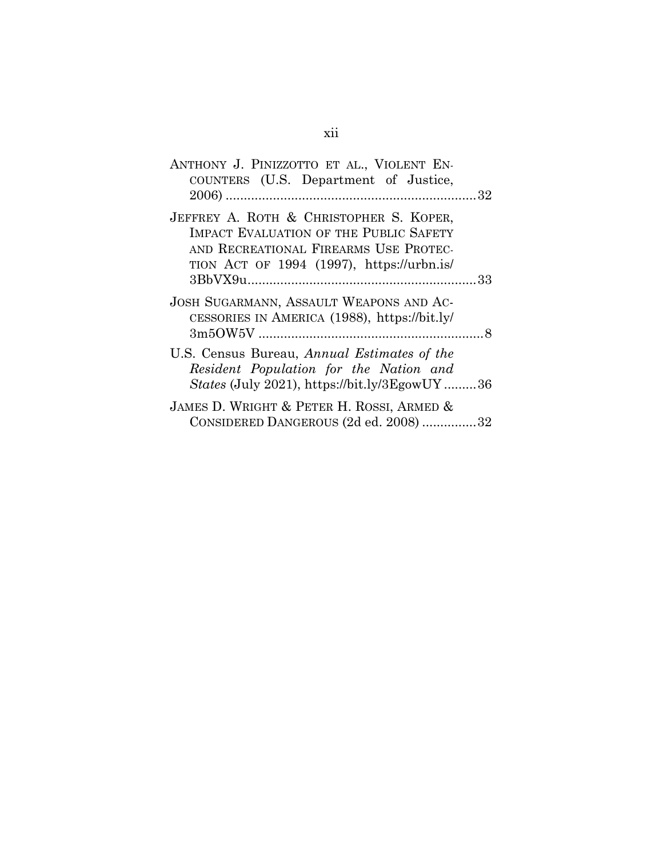| ANTHONY J. PINIZZOTTO ET AL., VIOLENT EN-<br>COUNTERS (U.S. Department of Justice,                                                           |  |
|----------------------------------------------------------------------------------------------------------------------------------------------|--|
|                                                                                                                                              |  |
| JEFFREY A. ROTH & CHRISTOPHER S. KOPER,<br>IMPACT EVALUATION OF THE PUBLIC SAFETY<br>AND RECREATIONAL FIREARMS USE PROTEC-                   |  |
| TION ACT OF 1994 (1997), https://urbn.is/                                                                                                    |  |
| JOSH SUGARMANN, ASSAULT WEAPONS AND AC-<br>CESSORIES IN AMERICA (1988), https://bit.ly/                                                      |  |
| U.S. Census Bureau, Annual Estimates of the<br>Resident Population for the Nation and<br><i>States</i> (July 2021), https://bit.ly/3EgowUY36 |  |
| JAMES D. WRIGHT & PETER H. ROSSI, ARMED &<br>CONSIDERED DANGEROUS (2d ed. 2008) 32                                                           |  |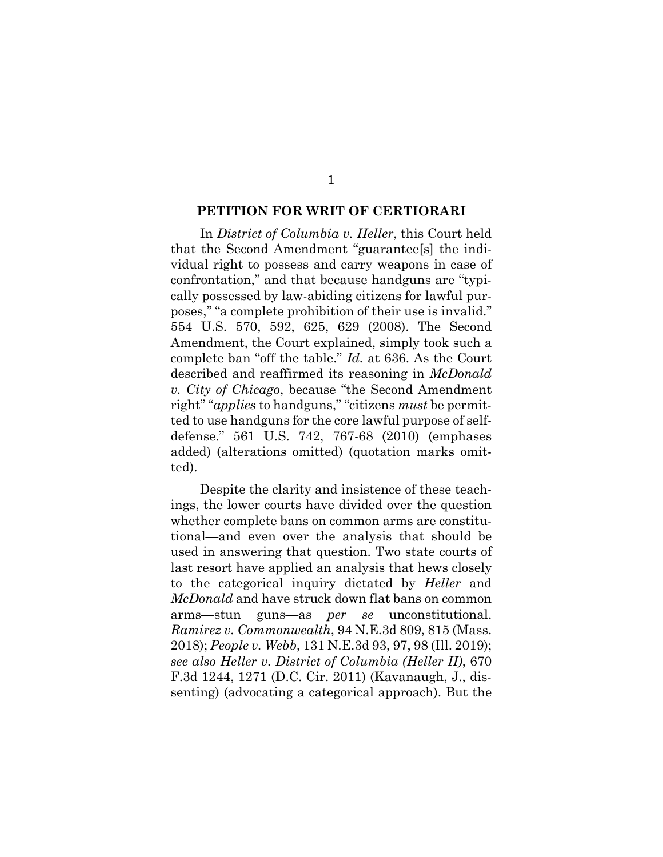#### **PETITION FOR WRIT OF CERTIORARI**

In *District of Columbia v. Heller*, this Court held that the Second Amendment "guarantee[s] the individual right to possess and carry weapons in case of confrontation," and that because handguns are "typically possessed by law-abiding citizens for lawful purposes," "a complete prohibition of their use is invalid." 554 U.S. 570, 592, 625, 629 (2008). The Second Amendment, the Court explained, simply took such a complete ban "off the table." *Id.* at 636. As the Court described and reaffirmed its reasoning in *McDonald v. City of Chicago*, because "the Second Amendment right" "*applies* to handguns," "citizens *must* be permitted to use handguns for the core lawful purpose of selfdefense." 561 U.S. 742, 767-68 (2010) (emphases added) (alterations omitted) (quotation marks omitted).

Despite the clarity and insistence of these teachings, the lower courts have divided over the question whether complete bans on common arms are constitutional—and even over the analysis that should be used in answering that question. Two state courts of last resort have applied an analysis that hews closely to the categorical inquiry dictated by *Heller* and *McDonald* and have struck down flat bans on common arms—stun guns—as *per se* unconstitutional. *Ramirez v. Commonwealth*, 94 N.E.3d 809, 815 (Mass. 2018); *People v. Webb*, 131 N.E.3d 93, 97, 98 (Ill. 2019); *see also Heller v. District of Columbia (Heller II)*, 670 F.3d 1244, 1271 (D.C. Cir. 2011) (Kavanaugh, J., dissenting) (advocating a categorical approach). But the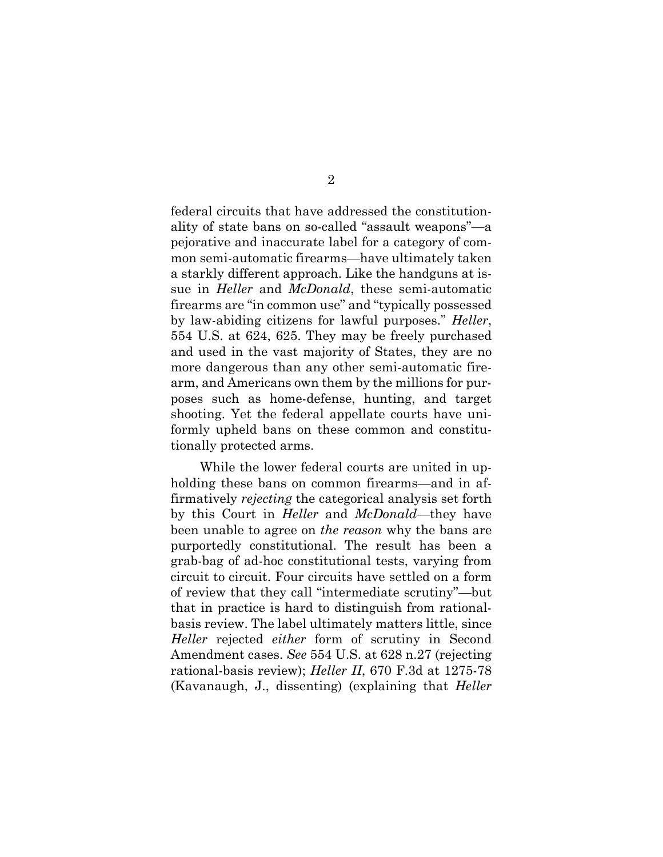federal circuits that have addressed the constitutionality of state bans on so-called "assault weapons"—a pejorative and inaccurate label for a category of common semi-automatic firearms—have ultimately taken a starkly different approach. Like the handguns at issue in *Heller* and *McDonald*, these semi-automatic firearms are "in common use" and "typically possessed by law-abiding citizens for lawful purposes." *Heller*, 554 U.S. at 624, 625. They may be freely purchased and used in the vast majority of States, they are no more dangerous than any other semi-automatic firearm, and Americans own them by the millions for purposes such as home-defense, hunting, and target shooting. Yet the federal appellate courts have uniformly upheld bans on these common and constitutionally protected arms.

While the lower federal courts are united in upholding these bans on common firearms—and in affirmatively *rejecting* the categorical analysis set forth by this Court in *Heller* and *McDonald*—they have been unable to agree on *the reason* why the bans are purportedly constitutional. The result has been a grab-bag of ad-hoc constitutional tests, varying from circuit to circuit. Four circuits have settled on a form of review that they call "intermediate scrutiny"—but that in practice is hard to distinguish from rationalbasis review. The label ultimately matters little, since *Heller* rejected *either* form of scrutiny in Second Amendment cases. *See* 554 U.S. at 628 n.27 (rejecting rational-basis review); *Heller II*, 670 F.3d at 1275-78 (Kavanaugh, J., dissenting) (explaining that *Heller*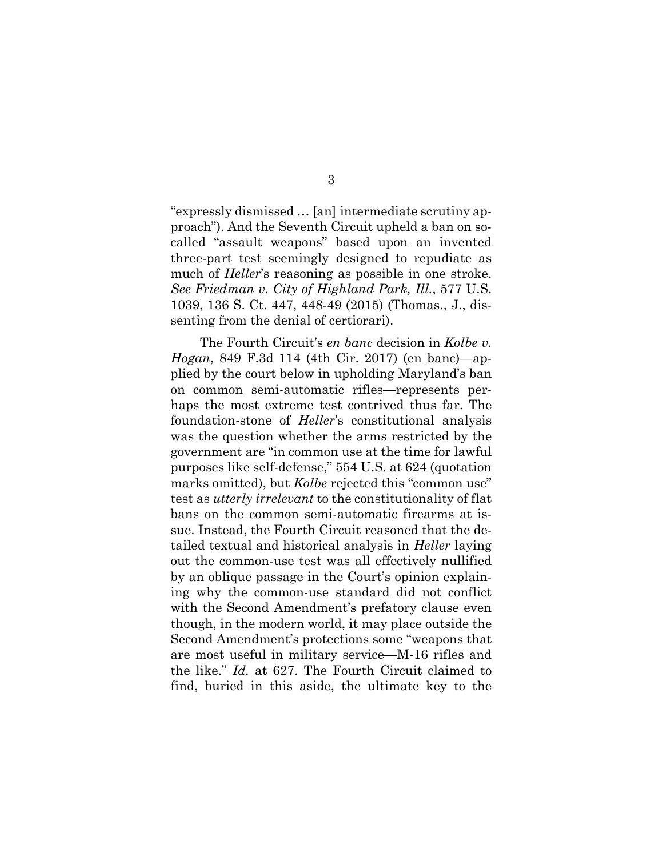"expressly dismissed … [an] intermediate scrutiny approach"). And the Seventh Circuit upheld a ban on socalled "assault weapons" based upon an invented three-part test seemingly designed to repudiate as much of *Heller*'s reasoning as possible in one stroke. *See Friedman v. City of Highland Park, Ill.*, 577 U.S. 1039, 136 S. Ct. 447, 448-49 (2015) (Thomas., J., dissenting from the denial of certiorari).

3

The Fourth Circuit's *en banc* decision in *Kolbe v. Hogan*, 849 F.3d 114 (4th Cir. 2017) (en banc)—applied by the court below in upholding Maryland's ban on common semi-automatic rifles—represents perhaps the most extreme test contrived thus far. The foundation-stone of *Heller*'s constitutional analysis was the question whether the arms restricted by the government are "in common use at the time for lawful purposes like self-defense," 554 U.S. at 624 (quotation marks omitted), but *Kolbe* rejected this "common use" test as *utterly irrelevant* to the constitutionality of flat bans on the common semi-automatic firearms at issue. Instead, the Fourth Circuit reasoned that the detailed textual and historical analysis in *Heller* laying out the common-use test was all effectively nullified by an oblique passage in the Court's opinion explaining why the common-use standard did not conflict with the Second Amendment's prefatory clause even though, in the modern world, it may place outside the Second Amendment's protections some "weapons that are most useful in military service—M-16 rifles and the like." *Id.* at 627. The Fourth Circuit claimed to find, buried in this aside, the ultimate key to the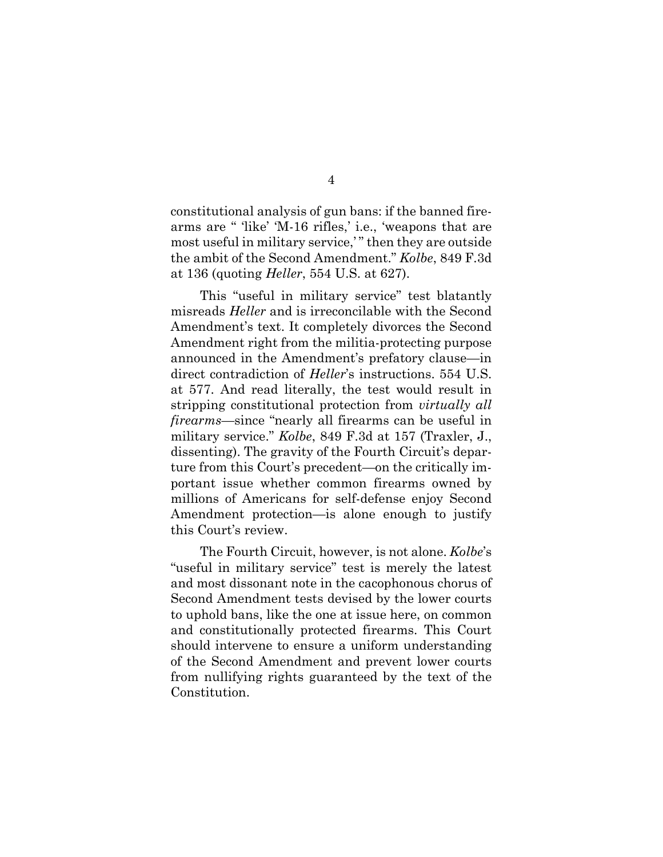constitutional analysis of gun bans: if the banned firearms are " 'like' 'M-16 rifles,' i.e., 'weapons that are most useful in military service," then they are outside the ambit of the Second Amendment." *Kolbe*, 849 F.3d at 136 (quoting *Heller*, 554 U.S. at 627).

This "useful in military service" test blatantly misreads *Heller* and is irreconcilable with the Second Amendment's text. It completely divorces the Second Amendment right from the militia-protecting purpose announced in the Amendment's prefatory clause—in direct contradiction of *Heller*'s instructions. 554 U.S. at 577. And read literally, the test would result in stripping constitutional protection from *virtually all firearms*—since "nearly all firearms can be useful in military service." *Kolbe*, 849 F.3d at 157 (Traxler, J., dissenting). The gravity of the Fourth Circuit's departure from this Court's precedent—on the critically important issue whether common firearms owned by millions of Americans for self-defense enjoy Second Amendment protection—is alone enough to justify this Court's review.

The Fourth Circuit, however, is not alone. *Kolbe*'s "useful in military service" test is merely the latest and most dissonant note in the cacophonous chorus of Second Amendment tests devised by the lower courts to uphold bans, like the one at issue here, on common and constitutionally protected firearms. This Court should intervene to ensure a uniform understanding of the Second Amendment and prevent lower courts from nullifying rights guaranteed by the text of the Constitution.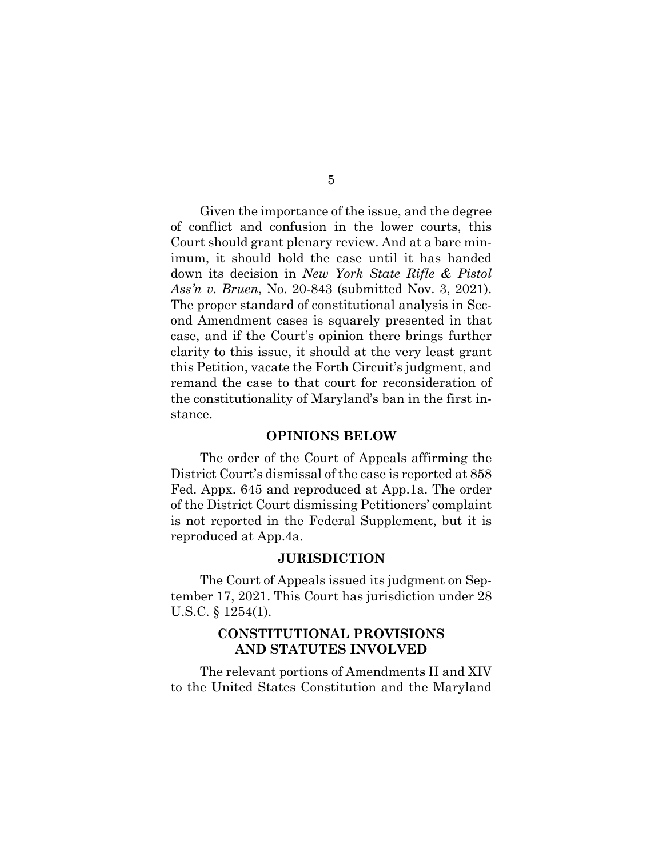Given the importance of the issue, and the degree of conflict and confusion in the lower courts, this Court should grant plenary review. And at a bare minimum, it should hold the case until it has handed down its decision in *New York State Rifle & Pistol Ass'n v. Bruen*, No. 20-843 (submitted Nov. 3, 2021). The proper standard of constitutional analysis in Second Amendment cases is squarely presented in that case, and if the Court's opinion there brings further clarity to this issue, it should at the very least grant this Petition, vacate the Forth Circuit's judgment, and remand the case to that court for reconsideration of the constitutionality of Maryland's ban in the first instance.

#### **OPINIONS BELOW**

The order of the Court of Appeals affirming the District Court's dismissal of the case is reported at 858 Fed. Appx. 645 and reproduced at App.1a. The order of the District Court dismissing Petitioners' complaint is not reported in the Federal Supplement, but it is reproduced at App.4a.

#### **JURISDICTION**

The Court of Appeals issued its judgment on September 17, 2021. This Court has jurisdiction under 28 U.S.C. § 1254(1).

### **CONSTITUTIONAL PROVISIONS AND STATUTES INVOLVED**

The relevant portions of Amendments II and XIV to the United States Constitution and the Maryland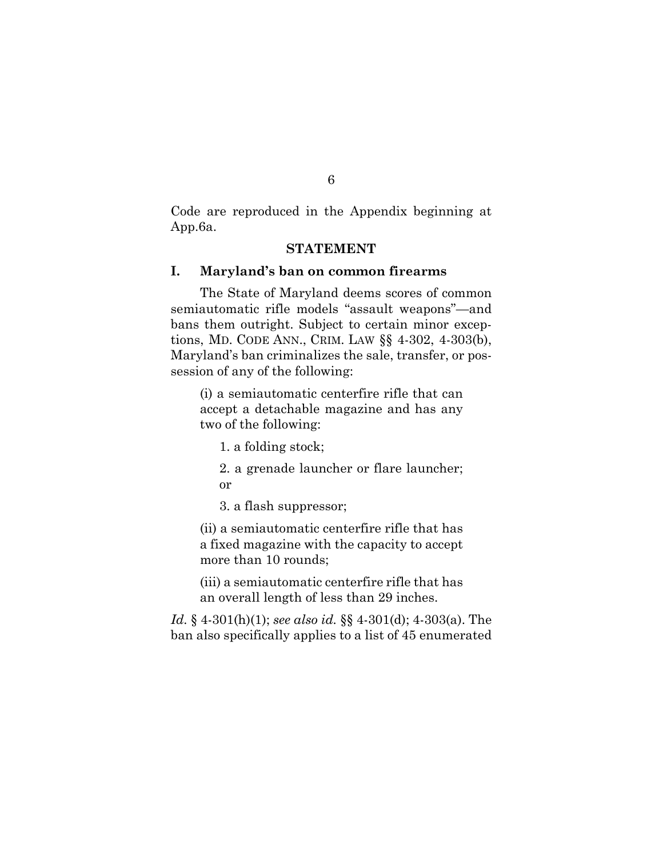Code are reproduced in the Appendix beginning at App.6a.

#### **STATEMENT**

#### **I. Maryland's ban on common firearms**

The State of Maryland deems scores of common semiautomatic rifle models "assault weapons"—and bans them outright. Subject to certain minor exceptions, MD. CODE ANN., CRIM. LAW §§ 4-302, 4-303(b), Maryland's ban criminalizes the sale, transfer, or possession of any of the following:

(i) a semiautomatic centerfire rifle that can accept a detachable magazine and has any two of the following:

1. a folding stock;

2. a grenade launcher or flare launcher; or

3. a flash suppressor;

(ii) a semiautomatic centerfire rifle that has a fixed magazine with the capacity to accept more than 10 rounds;

(iii) a semiautomatic centerfire rifle that has an overall length of less than 29 inches.

*Id.* § 4-301(h)(1); *see also id.* §§ 4-301(d); 4-303(a). The ban also specifically applies to a list of 45 enumerated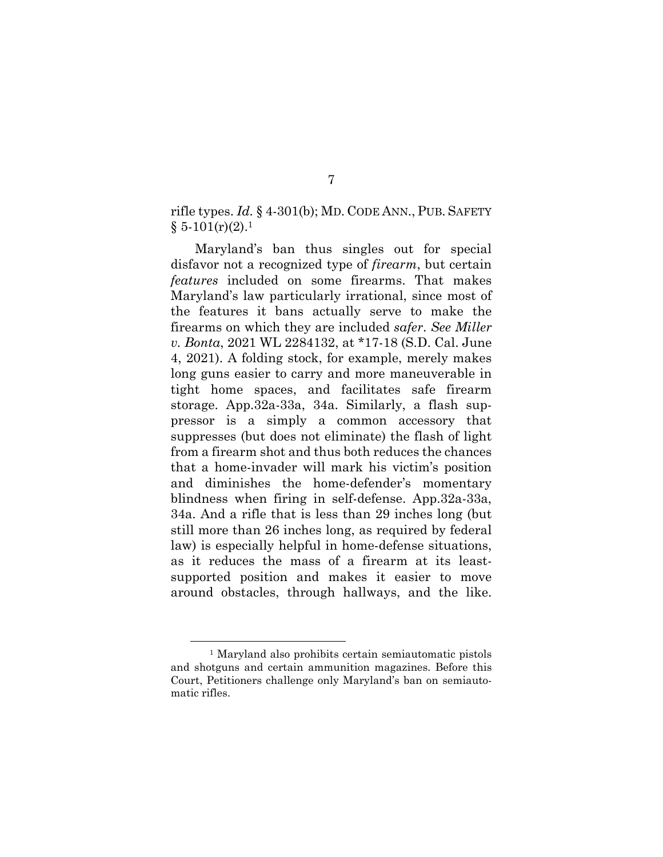rifle types. *Id.* § 4-301(b); MD. CODE ANN., PUB. SAFETY  $§ 5-101(r)(2).1$ 

Maryland's ban thus singles out for special disfavor not a recognized type of *firearm*, but certain *features* included on some firearms. That makes Maryland's law particularly irrational, since most of the features it bans actually serve to make the firearms on which they are included *safer*. *See Miller v. Bonta*, 2021 WL 2284132, at \*17-18 (S.D. Cal. June 4, 2021). A folding stock, for example, merely makes long guns easier to carry and more maneuverable in tight home spaces, and facilitates safe firearm storage. App.32a-33a, 34a. Similarly, a flash suppressor is a simply a common accessory that suppresses (but does not eliminate) the flash of light from a firearm shot and thus both reduces the chances that a home-invader will mark his victim's position and diminishes the home-defender's momentary blindness when firing in self-defense. App.32a-33a, 34a. And a rifle that is less than 29 inches long (but still more than 26 inches long, as required by federal law) is especially helpful in home-defense situations, as it reduces the mass of a firearm at its leastsupported position and makes it easier to move around obstacles, through hallways, and the like.

<sup>1</sup> Maryland also prohibits certain semiautomatic pistols and shotguns and certain ammunition magazines. Before this Court, Petitioners challenge only Maryland's ban on semiautomatic rifles.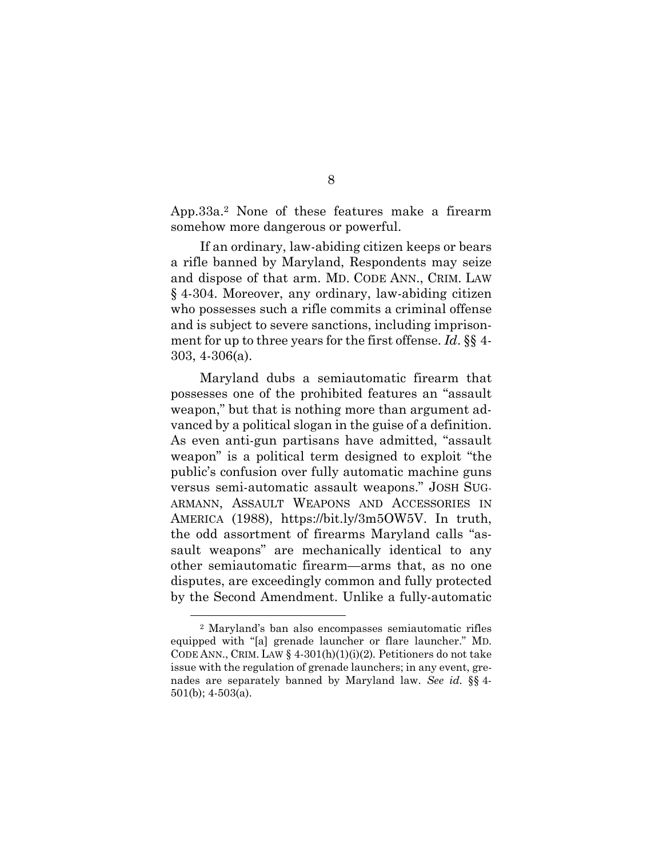App.33a.2 None of these features make a firearm somehow more dangerous or powerful.

If an ordinary, law-abiding citizen keeps or bears a rifle banned by Maryland, Respondents may seize and dispose of that arm. MD. CODE ANN., CRIM. LAW § 4-304. Moreover, any ordinary, law-abiding citizen who possesses such a rifle commits a criminal offense and is subject to severe sanctions, including imprisonment for up to three years for the first offense. *Id*. §§ 4- 303, 4-306(a).

Maryland dubs a semiautomatic firearm that possesses one of the prohibited features an "assault weapon," but that is nothing more than argument advanced by a political slogan in the guise of a definition. As even anti-gun partisans have admitted, "assault weapon" is a political term designed to exploit "the public's confusion over fully automatic machine guns versus semi-automatic assault weapons." JOSH SUG-ARMANN, ASSAULT WEAPONS AND ACCESSORIES IN AMERICA (1988), https://bit.ly/3m5OW5V. In truth, the odd assortment of firearms Maryland calls "assault weapons" are mechanically identical to any other semiautomatic firearm—arms that, as no one disputes, are exceedingly common and fully protected by the Second Amendment. Unlike a fully-automatic

<sup>2</sup> Maryland's ban also encompasses semiautomatic rifles equipped with "[a] grenade launcher or flare launcher." MD. CODE ANN., CRIM. LAW § 4-301(h)(1)(i)(2)*.* Petitioners do not take issue with the regulation of grenade launchers; in any event, grenades are separately banned by Maryland law. *See id.* §§ 4- 501(b); 4-503(a).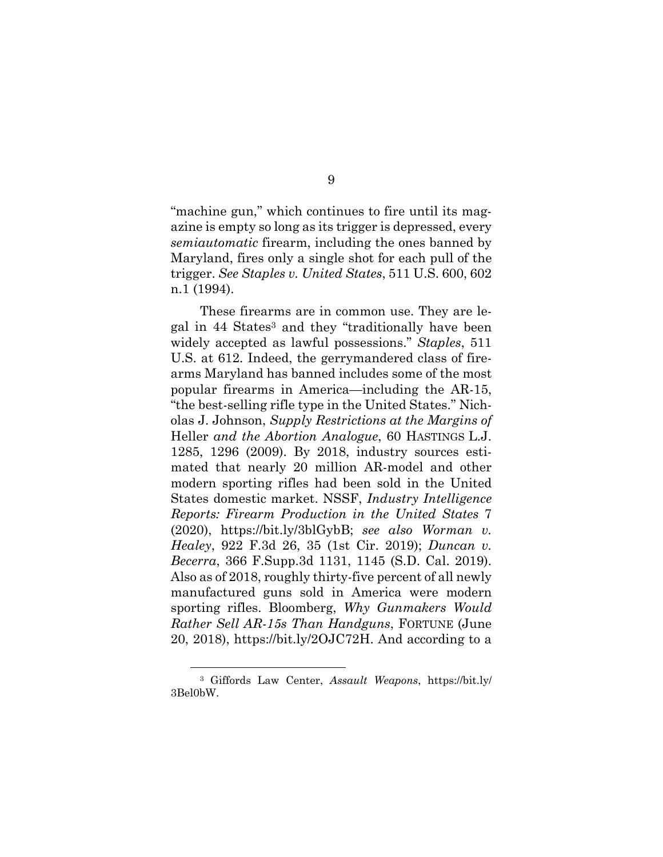"machine gun," which continues to fire until its magazine is empty so long as its trigger is depressed, every *semiautomatic* firearm, including the ones banned by Maryland, fires only a single shot for each pull of the trigger. *See Staples v. United States*, 511 U.S. 600, 602 n.1 (1994).

These firearms are in common use. They are legal in 44 States3 and they "traditionally have been widely accepted as lawful possessions." *Staples*, 511 U.S. at 612. Indeed, the gerrymandered class of firearms Maryland has banned includes some of the most popular firearms in America—including the AR-15, "the best-selling rifle type in the United States." Nicholas J. Johnson, *Supply Restrictions at the Margins of*  Heller *and the Abortion Analogue*, 60 HASTINGS L.J. 1285, 1296 (2009). By 2018, industry sources estimated that nearly 20 million AR-model and other modern sporting rifles had been sold in the United States domestic market. NSSF, *Industry Intelligence Reports: Firearm Production in the United States* 7 (2020), https://bit.ly/3blGybB; *see also Worman v. Healey*, 922 F.3d 26, 35 (1st Cir. 2019); *Duncan v. Becerra*, 366 F.Supp.3d 1131, 1145 (S.D. Cal. 2019). Also as of 2018, roughly thirty-five percent of all newly manufactured guns sold in America were modern sporting rifles. Bloomberg, *Why Gunmakers Would Rather Sell AR-15s Than Handguns*, FORTUNE (June 20, 2018), https://bit.ly/2OJC72H. And according to a

<sup>3</sup> Giffords Law Center, *Assault Weapons*, https://bit.ly/ 3Bel0bW.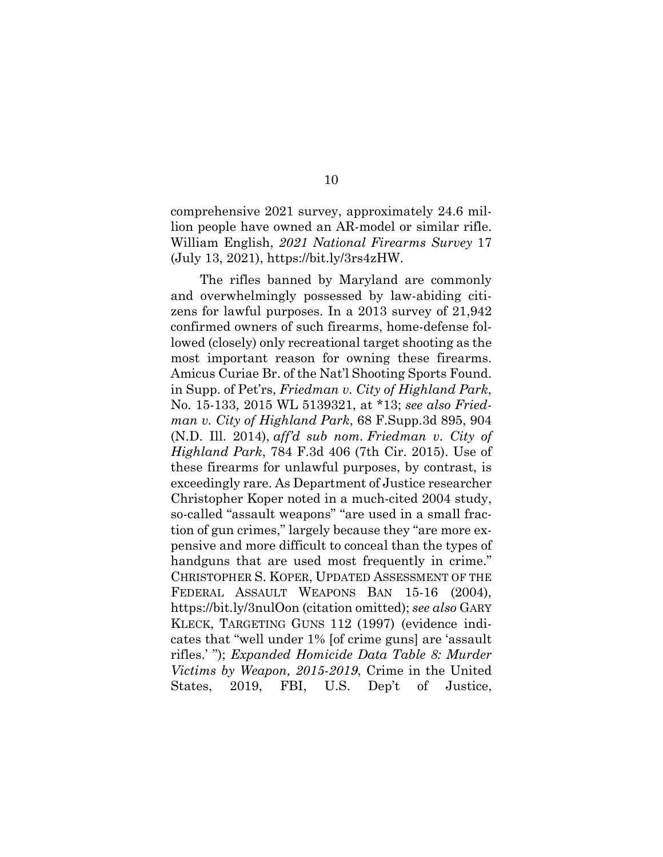comprehensive 2021 survey, approximately 24.6 million people have owned an AR-model or similar rifle. William English, *2021 National Firearms Survey* 17 (July 13, 2021), https://bit.ly/3rs4zHW.

10

The rifles banned by Maryland are commonly and overwhelmingly possessed by law-abiding citizens for lawful purposes. In a 2013 survey of 21,942 confirmed owners of such firearms, home-defense followed (closely) only recreational target shooting as the most important reason for owning these firearms. Amicus Curiae Br. of the Nat'l Shooting Sports Found. in Supp. of Pet'rs, *Friedman v. City of Highland Park*, No. 15-133, 2015 WL 5139321, at \*13; *see also Friedman v. City of Highland Park*, 68 F.Supp.3d 895, 904 (N.D. Ill. 2014), *aff'd sub nom. Friedman v. City of Highland Park*, 784 F.3d 406 (7th Cir. 2015). Use of these firearms for unlawful purposes, by contrast, is exceedingly rare. As Department of Justice researcher Christopher Koper noted in a much-cited 2004 study, so-called "assault weapons" "are used in a small fraction of gun crimes," largely because they "are more expensive and more difficult to conceal than the types of handguns that are used most frequently in crime." CHRISTOPHER S. KOPER, UPDATED ASSESSMENT OF THE FEDERAL ASSAULT WEAPONS BAN 15-16 (2004), https://bit.ly/3nulOon (citation omitted); *see also* GARY KLECK, TARGETING GUNS 112 (1997) (evidence indicates that "well under 1% [of crime guns] are 'assault rifles.' "); *Expanded Homicide Data Table 8: Murder Victims by Weapon, 2015-2019*, Crime in the United States, 2019, FBI, U.S. Dep't of Justice,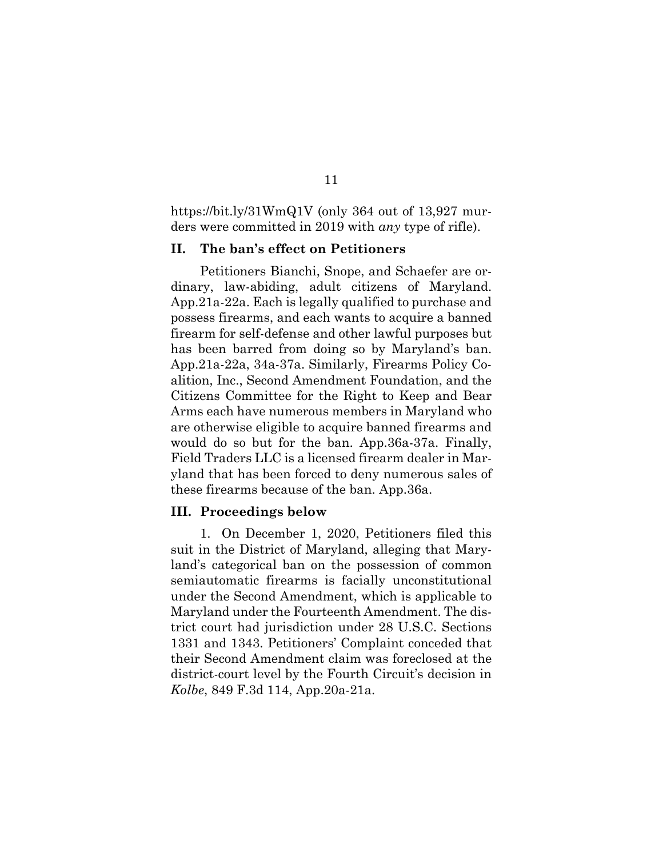https://bit.ly/31WmQ1V (only 364 out of 13,927 murders were committed in 2019 with *any* type of rifle).

#### **II. The ban's effect on Petitioners**

Petitioners Bianchi, Snope, and Schaefer are ordinary, law-abiding, adult citizens of Maryland. App.21a-22a. Each is legally qualified to purchase and possess firearms, and each wants to acquire a banned firearm for self-defense and other lawful purposes but has been barred from doing so by Maryland's ban. App.21a-22a, 34a-37a. Similarly, Firearms Policy Coalition, Inc., Second Amendment Foundation, and the Citizens Committee for the Right to Keep and Bear Arms each have numerous members in Maryland who are otherwise eligible to acquire banned firearms and would do so but for the ban. App.36a-37a. Finally, Field Traders LLC is a licensed firearm dealer in Maryland that has been forced to deny numerous sales of these firearms because of the ban. App.36a.

#### **III. Proceedings below**

1. On December 1, 2020, Petitioners filed this suit in the District of Maryland, alleging that Maryland's categorical ban on the possession of common semiautomatic firearms is facially unconstitutional under the Second Amendment, which is applicable to Maryland under the Fourteenth Amendment. The district court had jurisdiction under 28 U.S.C. Sections 1331 and 1343. Petitioners' Complaint conceded that their Second Amendment claim was foreclosed at the district-court level by the Fourth Circuit's decision in *Kolbe*, 849 F.3d 114, App.20a-21a.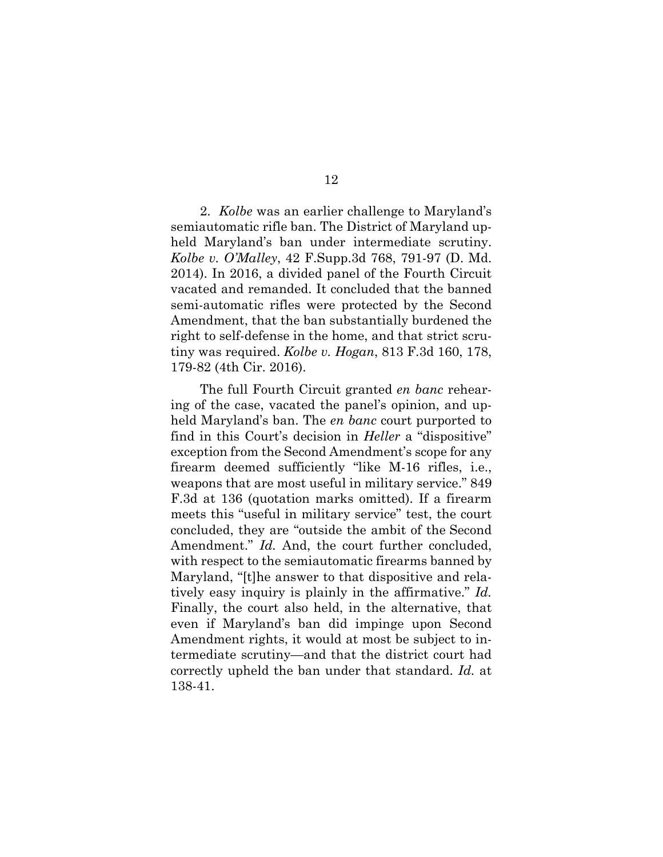2. *Kolbe* was an earlier challenge to Maryland's semiautomatic rifle ban. The District of Maryland upheld Maryland's ban under intermediate scrutiny. *Kolbe v. O'Malley*, 42 F.Supp.3d 768, 791-97 (D. Md. 2014). In 2016, a divided panel of the Fourth Circuit vacated and remanded. It concluded that the banned semi-automatic rifles were protected by the Second Amendment, that the ban substantially burdened the right to self-defense in the home, and that strict scrutiny was required. *Kolbe v. Hogan*, 813 F.3d 160, 178, 179-82 (4th Cir. 2016).

The full Fourth Circuit granted *en banc* rehearing of the case, vacated the panel's opinion, and upheld Maryland's ban. The *en banc* court purported to find in this Court's decision in *Heller* a "dispositive" exception from the Second Amendment's scope for any firearm deemed sufficiently "like M-16 rifles, i.e., weapons that are most useful in military service." 849 F.3d at 136 (quotation marks omitted). If a firearm meets this "useful in military service" test, the court concluded, they are "outside the ambit of the Second Amendment." *Id.* And, the court further concluded, with respect to the semiautomatic firearms banned by Maryland, "[t]he answer to that dispositive and relatively easy inquiry is plainly in the affirmative." *Id.* Finally, the court also held, in the alternative, that even if Maryland's ban did impinge upon Second Amendment rights, it would at most be subject to intermediate scrutiny—and that the district court had correctly upheld the ban under that standard. *Id.* at 138-41.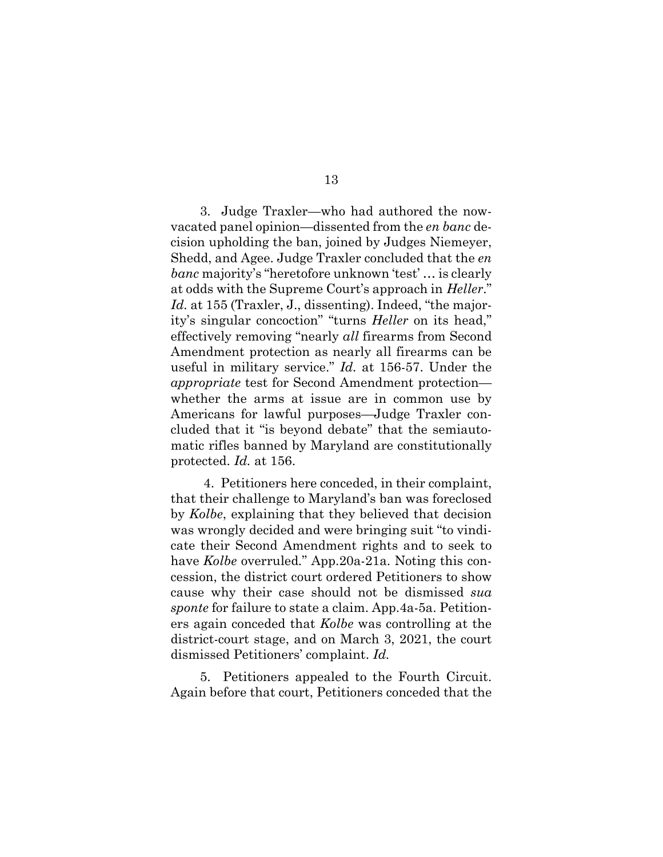3. Judge Traxler—who had authored the nowvacated panel opinion—dissented from the *en banc* decision upholding the ban, joined by Judges Niemeyer, Shedd, and Agee. Judge Traxler concluded that the *en banc* majority's "heretofore unknown 'test' … is clearly at odds with the Supreme Court's approach in *Heller*." Id. at 155 (Traxler, J., dissenting). Indeed, "the majority's singular concoction" "turns *Heller* on its head," effectively removing "nearly *all* firearms from Second Amendment protection as nearly all firearms can be useful in military service." *Id.* at 156-57. Under the *appropriate* test for Second Amendment protection whether the arms at issue are in common use by Americans for lawful purposes—Judge Traxler concluded that it "is beyond debate" that the semiautomatic rifles banned by Maryland are constitutionally protected. *Id.* at 156.

 4. Petitioners here conceded, in their complaint, that their challenge to Maryland's ban was foreclosed by *Kolbe*, explaining that they believed that decision was wrongly decided and were bringing suit "to vindicate their Second Amendment rights and to seek to have *Kolbe* overruled*.*" App.20a-21a. Noting this concession, the district court ordered Petitioners to show cause why their case should not be dismissed *sua sponte* for failure to state a claim. App.4a-5a. Petitioners again conceded that *Kolbe* was controlling at the district-court stage, and on March 3, 2021, the court dismissed Petitioners' complaint. *Id.*

5. Petitioners appealed to the Fourth Circuit. Again before that court, Petitioners conceded that the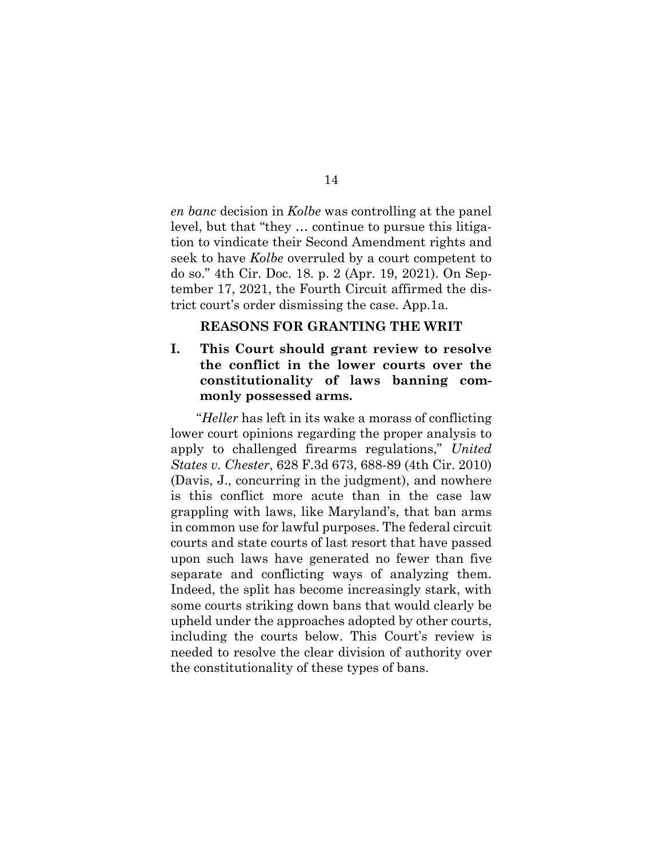*en banc* decision in *Kolbe* was controlling at the panel level, but that "they … continue to pursue this litigation to vindicate their Second Amendment rights and seek to have *Kolbe* overruled by a court competent to do so." 4th Cir. Doc. 18. p. 2 (Apr. 19, 2021). On September 17, 2021, the Fourth Circuit affirmed the district court's order dismissing the case. App.1a.

#### **REASONS FOR GRANTING THE WRIT**

## **I. This Court should grant review to resolve the conflict in the lower courts over the constitutionality of laws banning commonly possessed arms.**

"*Heller* has left in its wake a morass of conflicting lower court opinions regarding the proper analysis to apply to challenged firearms regulations," *United States v. Chester*, 628 F.3d 673, 688-89 (4th Cir. 2010) (Davis, J., concurring in the judgment), and nowhere is this conflict more acute than in the case law grappling with laws, like Maryland's, that ban arms in common use for lawful purposes. The federal circuit courts and state courts of last resort that have passed upon such laws have generated no fewer than five separate and conflicting ways of analyzing them. Indeed, the split has become increasingly stark, with some courts striking down bans that would clearly be upheld under the approaches adopted by other courts, including the courts below. This Court's review is needed to resolve the clear division of authority over the constitutionality of these types of bans.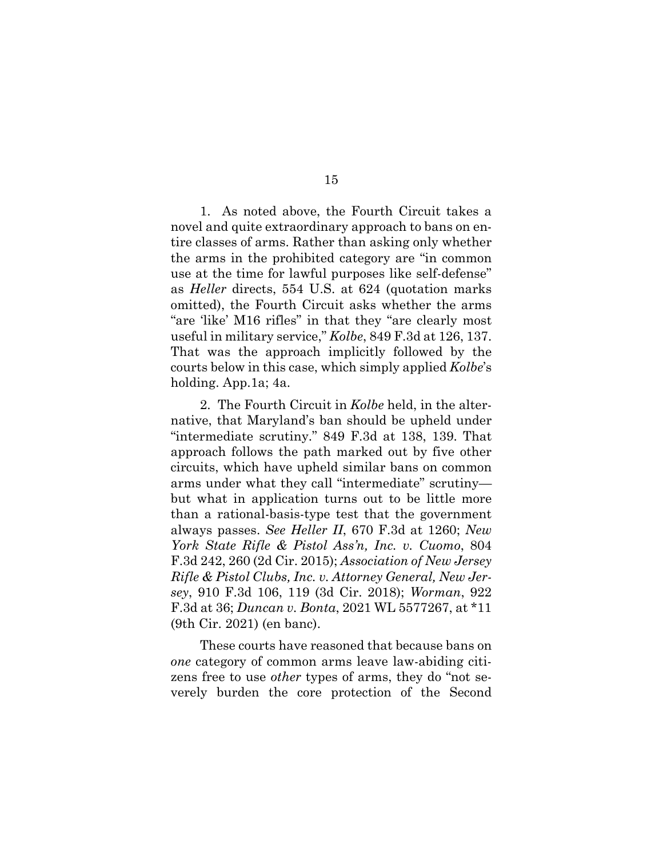1. As noted above, the Fourth Circuit takes a novel and quite extraordinary approach to bans on entire classes of arms. Rather than asking only whether the arms in the prohibited category are "in common use at the time for lawful purposes like self-defense" as *Heller* directs, 554 U.S. at 624 (quotation marks omitted), the Fourth Circuit asks whether the arms "are 'like' M16 rifles" in that they "are clearly most useful in military service," *Kolbe*, 849 F.3d at 126, 137. That was the approach implicitly followed by the courts below in this case, which simply applied *Kolbe*'s holding. App.1a; 4a.

2. The Fourth Circuit in *Kolbe* held, in the alternative, that Maryland's ban should be upheld under "intermediate scrutiny." 849 F.3d at 138, 139. That approach follows the path marked out by five other circuits, which have upheld similar bans on common arms under what they call "intermediate" scrutiny but what in application turns out to be little more than a rational-basis-type test that the government always passes. *See Heller II*, 670 F.3d at 1260; *New York State Rifle & Pistol Ass'n, Inc. v. Cuomo*, 804 F.3d 242, 260 (2d Cir. 2015); *Association of New Jersey Rifle & Pistol Clubs, Inc. v. Attorney General, New Jersey*, 910 F.3d 106, 119 (3d Cir. 2018); *Worman*, 922 F.3d at 36; *Duncan v. Bonta*, 2021 WL 5577267, at \*11 (9th Cir. 2021) (en banc).

These courts have reasoned that because bans on *one* category of common arms leave law-abiding citizens free to use *other* types of arms, they do "not severely burden the core protection of the Second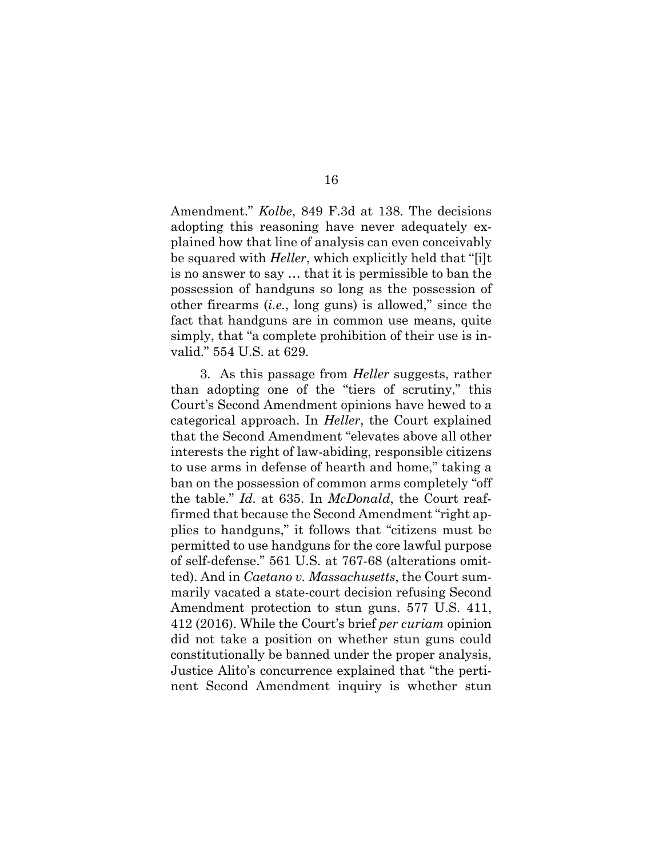Amendment." *Kolbe*, 849 F.3d at 138. The decisions adopting this reasoning have never adequately explained how that line of analysis can even conceivably be squared with *Heller*, which explicitly held that "[i]t is no answer to say … that it is permissible to ban the possession of handguns so long as the possession of other firearms (*i.e.*, long guns) is allowed," since the fact that handguns are in common use means, quite simply, that "a complete prohibition of their use is invalid." 554 U.S. at 629.

3. As this passage from *Heller* suggests, rather than adopting one of the "tiers of scrutiny," this Court's Second Amendment opinions have hewed to a categorical approach. In *Heller*, the Court explained that the Second Amendment "elevates above all other interests the right of law-abiding, responsible citizens to use arms in defense of hearth and home," taking a ban on the possession of common arms completely "off the table." *Id.* at 635. In *McDonald*, the Court reaffirmed that because the Second Amendment "right applies to handguns," it follows that "citizens must be permitted to use handguns for the core lawful purpose of self-defense." 561 U.S. at 767-68 (alterations omitted). And in *Caetano v. Massachusetts*, the Court summarily vacated a state-court decision refusing Second Amendment protection to stun guns. 577 U.S. 411, 412 (2016). While the Court's brief *per curiam* opinion did not take a position on whether stun guns could constitutionally be banned under the proper analysis, Justice Alito's concurrence explained that "the pertinent Second Amendment inquiry is whether stun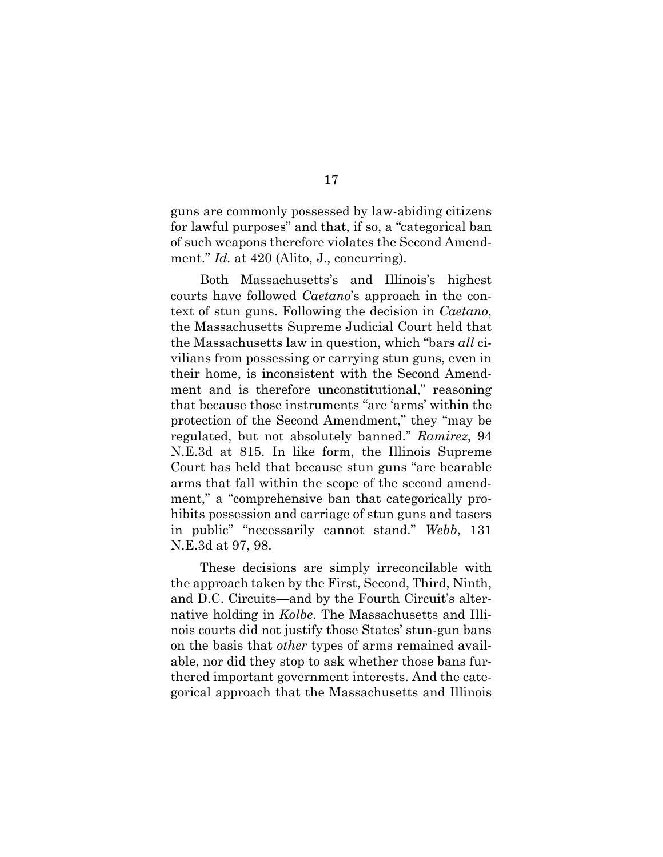guns are commonly possessed by law-abiding citizens for lawful purposes" and that, if so, a "categorical ban of such weapons therefore violates the Second Amendment." *Id.* at 420 (Alito, J., concurring).

Both Massachusetts's and Illinois's highest courts have followed *Caetano*'s approach in the context of stun guns. Following the decision in *Caetano*, the Massachusetts Supreme Judicial Court held that the Massachusetts law in question, which "bars *all* civilians from possessing or carrying stun guns, even in their home, is inconsistent with the Second Amendment and is therefore unconstitutional," reasoning that because those instruments "are 'arms' within the protection of the Second Amendment," they "may be regulated, but not absolutely banned." *Ramirez*, 94 N.E.3d at 815. In like form, the Illinois Supreme Court has held that because stun guns "are bearable arms that fall within the scope of the second amendment," a "comprehensive ban that categorically prohibits possession and carriage of stun guns and tasers in public" "necessarily cannot stand." *Webb*, 131 N.E.3d at 97, 98.

These decisions are simply irreconcilable with the approach taken by the First, Second, Third, Ninth, and D.C. Circuits—and by the Fourth Circuit's alternative holding in *Kolbe*. The Massachusetts and Illinois courts did not justify those States' stun-gun bans on the basis that *other* types of arms remained available, nor did they stop to ask whether those bans furthered important government interests. And the categorical approach that the Massachusetts and Illinois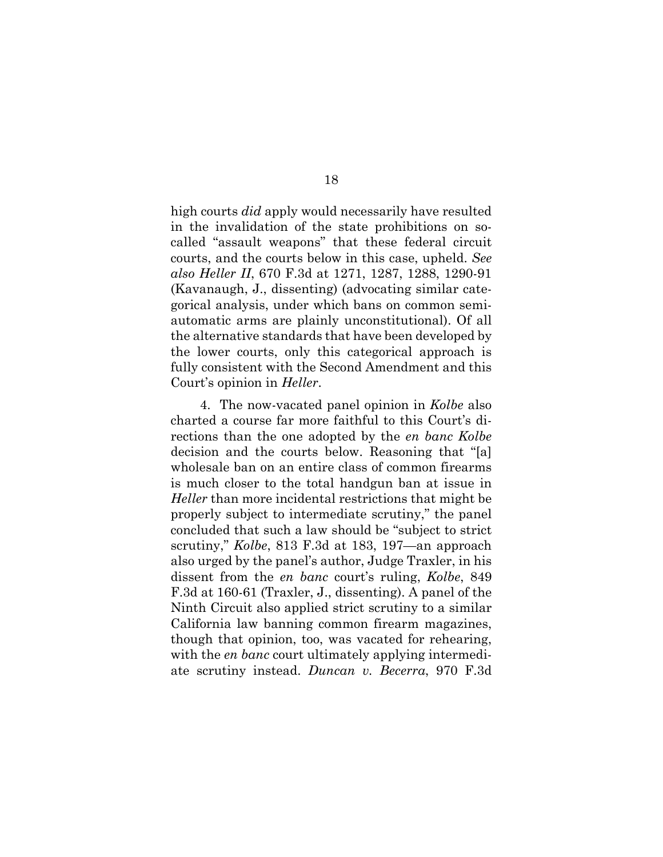high courts *did* apply would necessarily have resulted in the invalidation of the state prohibitions on socalled "assault weapons" that these federal circuit courts, and the courts below in this case, upheld. *See also Heller II*, 670 F.3d at 1271, 1287, 1288, 1290-91 (Kavanaugh, J., dissenting) (advocating similar categorical analysis, under which bans on common semiautomatic arms are plainly unconstitutional). Of all the alternative standards that have been developed by the lower courts, only this categorical approach is fully consistent with the Second Amendment and this Court's opinion in *Heller*.

4. The now-vacated panel opinion in *Kolbe* also charted a course far more faithful to this Court's directions than the one adopted by the *en banc Kolbe*  decision and the courts below. Reasoning that "[a] wholesale ban on an entire class of common firearms is much closer to the total handgun ban at issue in *Heller* than more incidental restrictions that might be properly subject to intermediate scrutiny," the panel concluded that such a law should be "subject to strict scrutiny," *Kolbe*, 813 F.3d at 183, 197—an approach also urged by the panel's author, Judge Traxler, in his dissent from the *en banc* court's ruling, *Kolbe*, 849 F.3d at 160-61 (Traxler, J., dissenting). A panel of the Ninth Circuit also applied strict scrutiny to a similar California law banning common firearm magazines, though that opinion, too, was vacated for rehearing, with the *en banc* court ultimately applying intermediate scrutiny instead. *Duncan v. Becerra*, 970 F.3d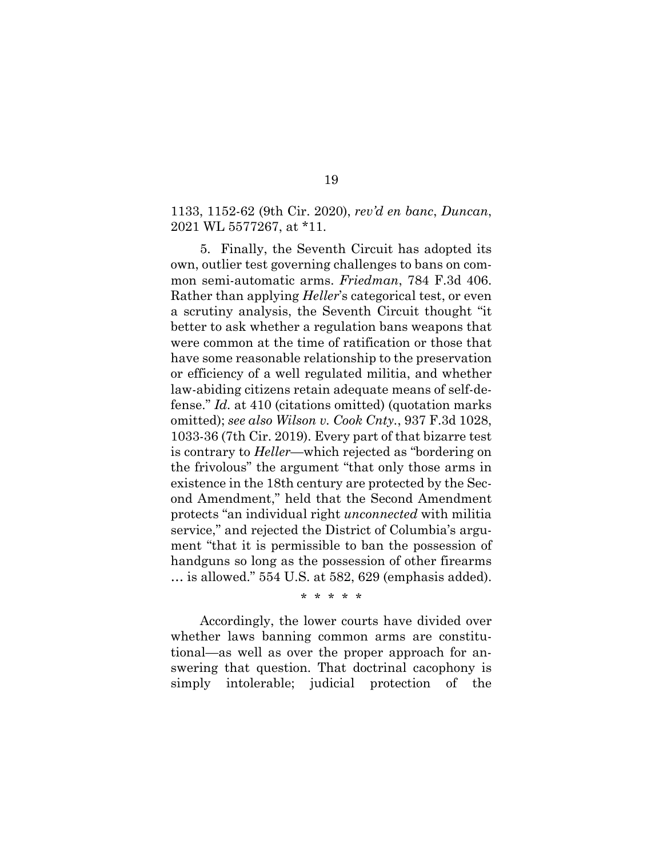1133, 1152-62 (9th Cir. 2020), *rev'd en banc*, *Duncan*, 2021 WL 5577267, at \*11.

5. Finally, the Seventh Circuit has adopted its own, outlier test governing challenges to bans on common semi-automatic arms. *Friedman*, 784 F.3d 406. Rather than applying *Heller*'s categorical test, or even a scrutiny analysis, the Seventh Circuit thought "it better to ask whether a regulation bans weapons that were common at the time of ratification or those that have some reasonable relationship to the preservation or efficiency of a well regulated militia, and whether law-abiding citizens retain adequate means of self-defense." *Id.* at 410 (citations omitted) (quotation marks omitted); *see also Wilson v. Cook Cnty.*, 937 F.3d 1028, 1033-36 (7th Cir. 2019). Every part of that bizarre test is contrary to *Heller*—which rejected as "bordering on the frivolous" the argument "that only those arms in existence in the 18th century are protected by the Second Amendment," held that the Second Amendment protects "an individual right *unconnected* with militia service," and rejected the District of Columbia's argument "that it is permissible to ban the possession of handguns so long as the possession of other firearms … is allowed." 554 U.S. at 582, 629 (emphasis added).

\* \* \* \* \*

Accordingly, the lower courts have divided over whether laws banning common arms are constitutional—as well as over the proper approach for answering that question. That doctrinal cacophony is simply intolerable; judicial protection of the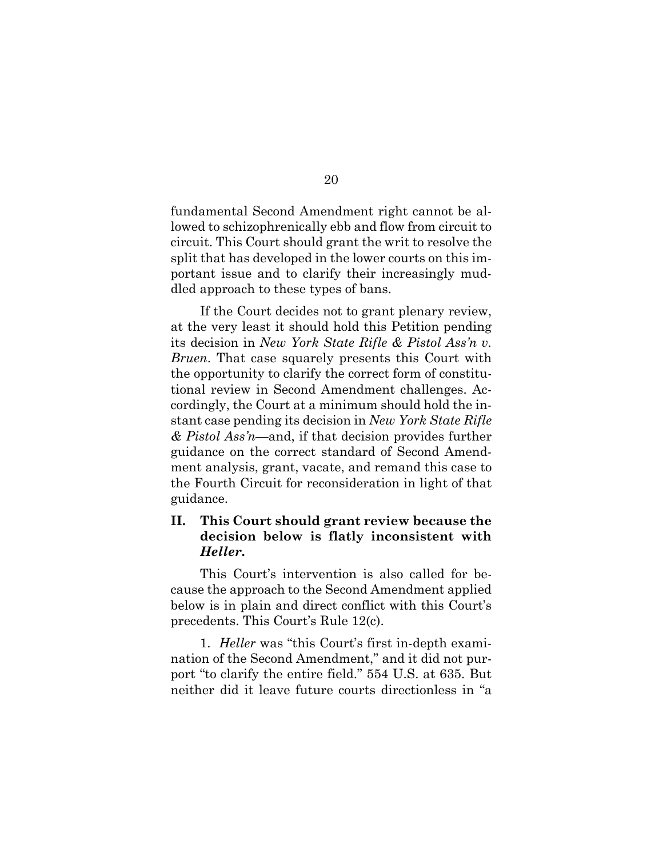fundamental Second Amendment right cannot be allowed to schizophrenically ebb and flow from circuit to circuit. This Court should grant the writ to resolve the split that has developed in the lower courts on this important issue and to clarify their increasingly muddled approach to these types of bans.

If the Court decides not to grant plenary review, at the very least it should hold this Petition pending its decision in *New York State Rifle & Pistol Ass'n v. Bruen*. That case squarely presents this Court with the opportunity to clarify the correct form of constitutional review in Second Amendment challenges. Accordingly, the Court at a minimum should hold the instant case pending its decision in *New York State Rifle & Pistol Ass'n*—and, if that decision provides further guidance on the correct standard of Second Amendment analysis, grant, vacate, and remand this case to the Fourth Circuit for reconsideration in light of that guidance.

## **II. This Court should grant review because the decision below is flatly inconsistent with**  *Heller***.**

This Court's intervention is also called for because the approach to the Second Amendment applied below is in plain and direct conflict with this Court's precedents. This Court's Rule 12(c).

1. *Heller* was "this Court's first in-depth examination of the Second Amendment," and it did not purport "to clarify the entire field." 554 U.S. at 635. But neither did it leave future courts directionless in "a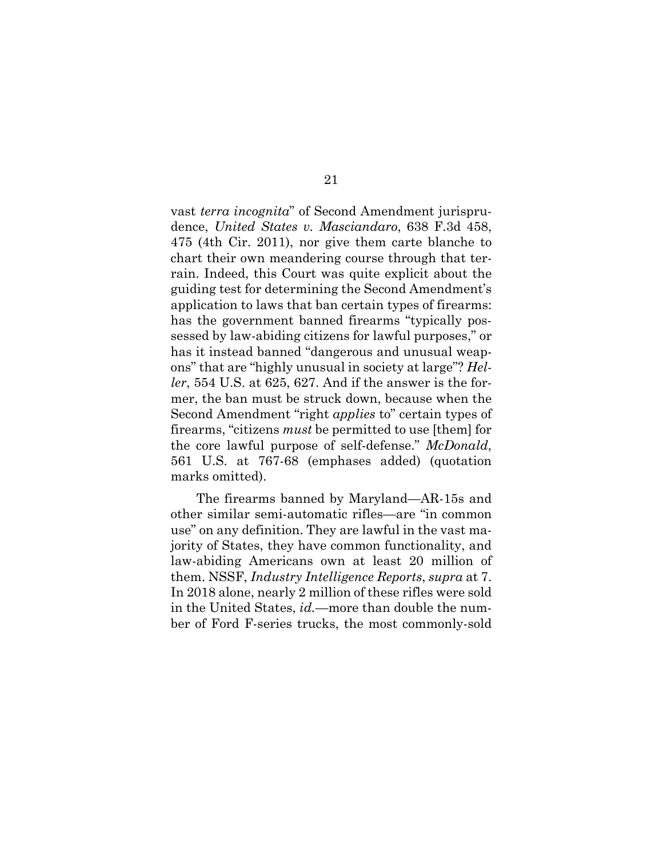vast *terra incognita*" of Second Amendment jurisprudence, *United States v. Masciandaro*, 638 F.3d 458, 475 (4th Cir. 2011), nor give them carte blanche to chart their own meandering course through that terrain. Indeed, this Court was quite explicit about the guiding test for determining the Second Amendment's application to laws that ban certain types of firearms: has the government banned firearms "typically possessed by law-abiding citizens for lawful purposes," or has it instead banned "dangerous and unusual weapons" that are "highly unusual in society at large"? *Heller*, 554 U.S. at 625, 627. And if the answer is the former, the ban must be struck down, because when the Second Amendment "right *applies* to" certain types of firearms, "citizens *must* be permitted to use [them] for the core lawful purpose of self-defense." *McDonald*, 561 U.S. at 767-68 (emphases added) (quotation marks omitted).

The firearms banned by Maryland—AR-15s and other similar semi-automatic rifles—are "in common use" on any definition. They are lawful in the vast majority of States, they have common functionality, and law-abiding Americans own at least 20 million of them. NSSF, *Industry Intelligence Reports*, *supra* at 7. In 2018 alone, nearly 2 million of these rifles were sold in the United States, *id.*—more than double the number of Ford F-series trucks, the most commonly-sold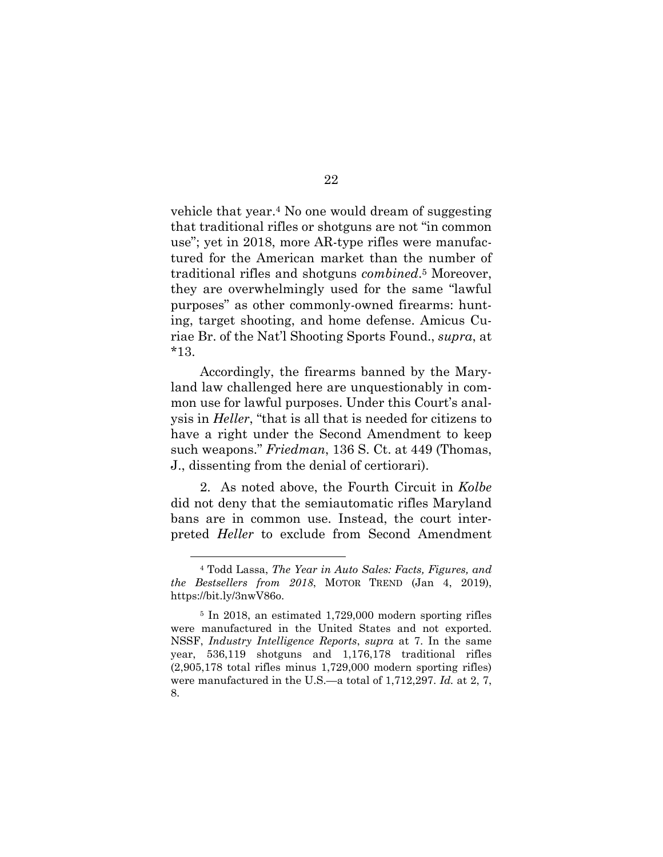vehicle that year.4 No one would dream of suggesting that traditional rifles or shotguns are not "in common use"; yet in 2018, more AR-type rifles were manufactured for the American market than the number of traditional rifles and shotguns *combined*.5 Moreover, they are overwhelmingly used for the same "lawful purposes" as other commonly-owned firearms: hunting, target shooting, and home defense. Amicus Curiae Br. of the Nat'l Shooting Sports Found., *supra*, at \*13.

Accordingly, the firearms banned by the Maryland law challenged here are unquestionably in common use for lawful purposes. Under this Court's analysis in *Heller*, "that is all that is needed for citizens to have a right under the Second Amendment to keep such weapons." *Friedman*, 136 S. Ct. at 449 (Thomas, J., dissenting from the denial of certiorari).

2. As noted above, the Fourth Circuit in *Kolbe*  did not deny that the semiautomatic rifles Maryland bans are in common use. Instead, the court interpreted *Heller* to exclude from Second Amendment

<sup>4</sup> Todd Lassa, *The Year in Auto Sales: Facts, Figures, and the Bestsellers from 2018*, MOTOR TREND (Jan 4, 2019), https://bit.ly/3nwV86o.

<sup>5</sup> In 2018, an estimated 1,729,000 modern sporting rifles were manufactured in the United States and not exported. NSSF, *Industry Intelligence Reports*, *supra* at 7. In the same year, 536,119 shotguns and 1,176,178 traditional rifles (2,905,178 total rifles minus 1,729,000 modern sporting rifles) were manufactured in the U.S.—a total of 1,712,297. *Id.* at 2, 7, 8.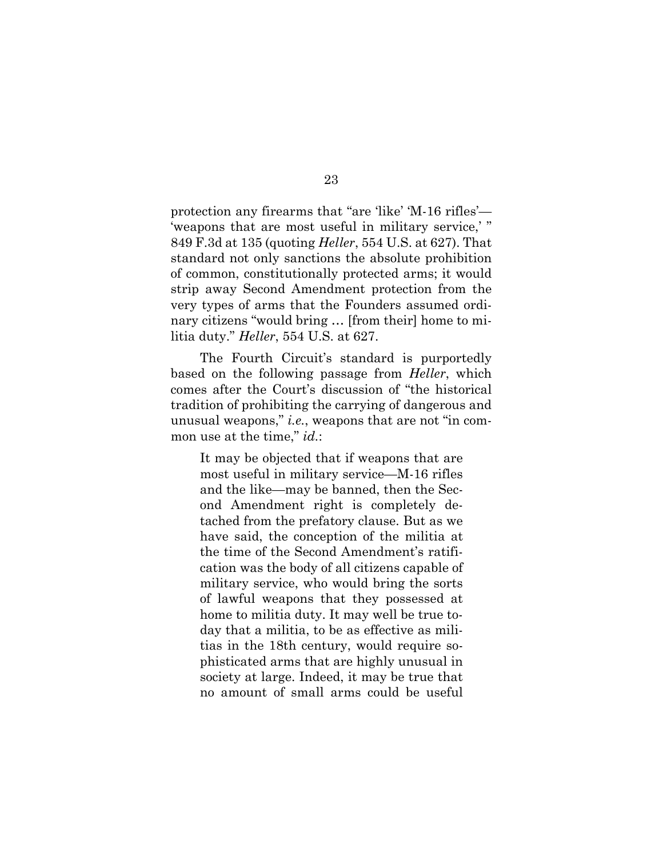protection any firearms that "are 'like' 'M-16 rifles'— 'weapons that are most useful in military service,'" 849 F.3d at 135 (quoting *Heller*, 554 U.S. at 627). That standard not only sanctions the absolute prohibition of common, constitutionally protected arms; it would strip away Second Amendment protection from the very types of arms that the Founders assumed ordinary citizens "would bring … [from their] home to militia duty." *Heller*, 554 U.S. at 627.

The Fourth Circuit's standard is purportedly based on the following passage from *Heller*, which comes after the Court's discussion of "the historical tradition of prohibiting the carrying of dangerous and unusual weapons," *i.e.*, weapons that are not "in common use at the time," *id.*:

It may be objected that if weapons that are most useful in military service—M-16 rifles and the like—may be banned, then the Second Amendment right is completely detached from the prefatory clause. But as we have said, the conception of the militia at the time of the Second Amendment's ratification was the body of all citizens capable of military service, who would bring the sorts of lawful weapons that they possessed at home to militia duty. It may well be true today that a militia, to be as effective as militias in the 18th century, would require sophisticated arms that are highly unusual in society at large. Indeed, it may be true that no amount of small arms could be useful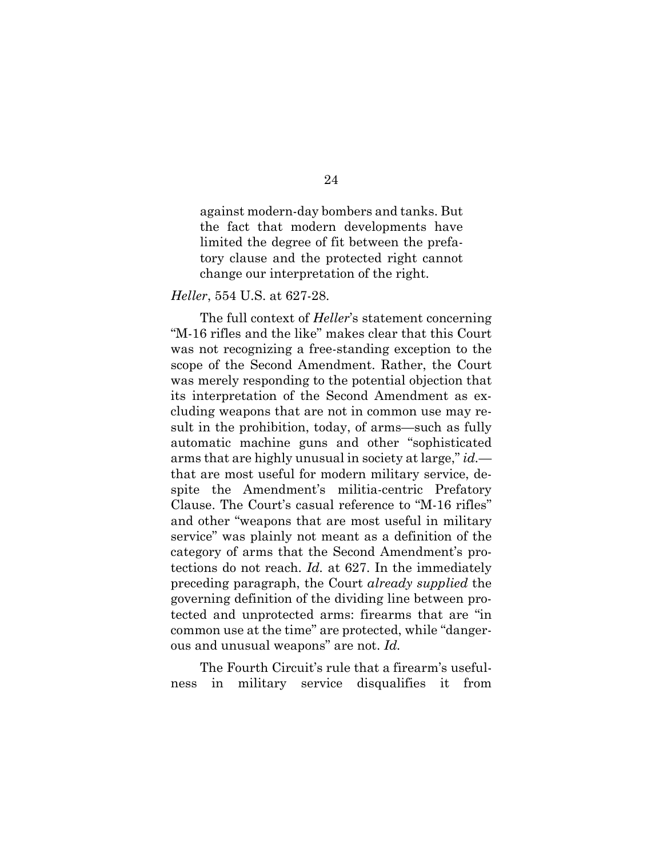against modern-day bombers and tanks. But the fact that modern developments have limited the degree of fit between the prefatory clause and the protected right cannot change our interpretation of the right.

#### *Heller*, 554 U.S. at 627-28.

The full context of *Heller*'s statement concerning "M-16 rifles and the like" makes clear that this Court was not recognizing a free-standing exception to the scope of the Second Amendment. Rather, the Court was merely responding to the potential objection that its interpretation of the Second Amendment as excluding weapons that are not in common use may result in the prohibition, today, of arms—such as fully automatic machine guns and other "sophisticated arms that are highly unusual in society at large," *id.* that are most useful for modern military service, despite the Amendment's militia-centric Prefatory Clause. The Court's casual reference to "M-16 rifles" and other "weapons that are most useful in military service" was plainly not meant as a definition of the category of arms that the Second Amendment's protections do not reach. *Id.* at 627. In the immediately preceding paragraph, the Court *already supplied* the governing definition of the dividing line between protected and unprotected arms: firearms that are "in common use at the time" are protected, while "dangerous and unusual weapons" are not. *Id.* 

The Fourth Circuit's rule that a firearm's usefulness in military service disqualifies it from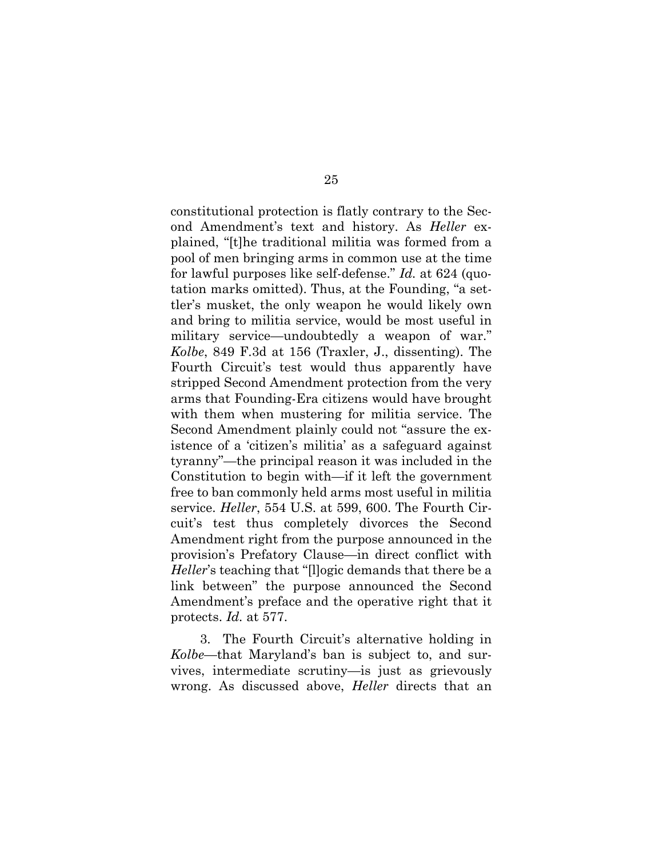constitutional protection is flatly contrary to the Second Amendment's text and history. As *Heller* explained, "[t]he traditional militia was formed from a pool of men bringing arms in common use at the time for lawful purposes like self-defense." *Id.* at 624 (quotation marks omitted). Thus, at the Founding, "a settler's musket, the only weapon he would likely own and bring to militia service, would be most useful in military service—undoubtedly a weapon of war." *Kolbe*, 849 F.3d at 156 (Traxler, J., dissenting). The Fourth Circuit's test would thus apparently have stripped Second Amendment protection from the very arms that Founding-Era citizens would have brought with them when mustering for militia service. The Second Amendment plainly could not "assure the existence of a 'citizen's militia' as a safeguard against tyranny"—the principal reason it was included in the Constitution to begin with—if it left the government free to ban commonly held arms most useful in militia service. *Heller*, 554 U.S. at 599, 600. The Fourth Circuit's test thus completely divorces the Second Amendment right from the purpose announced in the provision's Prefatory Clause—in direct conflict with *Heller*'s teaching that "[l]ogic demands that there be a link between" the purpose announced the Second Amendment's preface and the operative right that it protects. *Id.* at 577.

3. The Fourth Circuit's alternative holding in *Kolbe*—that Maryland's ban is subject to, and survives, intermediate scrutiny—is just as grievously wrong. As discussed above, *Heller* directs that an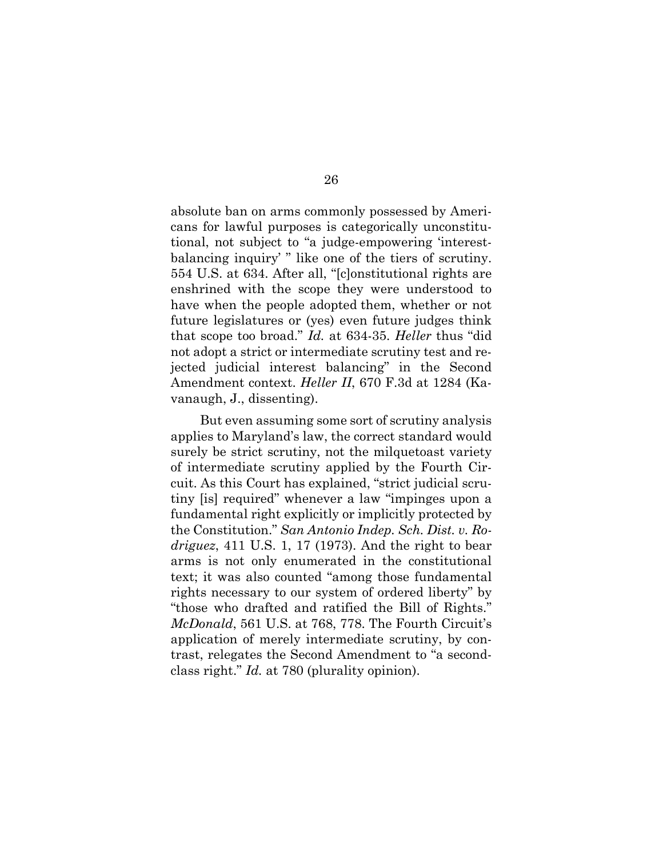absolute ban on arms commonly possessed by Americans for lawful purposes is categorically unconstitutional, not subject to "a judge-empowering 'interestbalancing inquiry' " like one of the tiers of scrutiny. 554 U.S. at 634. After all, "[c]onstitutional rights are enshrined with the scope they were understood to have when the people adopted them, whether or not future legislatures or (yes) even future judges think that scope too broad." *Id.* at 634-35. *Heller* thus "did not adopt a strict or intermediate scrutiny test and rejected judicial interest balancing" in the Second Amendment context. *Heller II*, 670 F.3d at 1284 (Kavanaugh, J., dissenting).

But even assuming some sort of scrutiny analysis applies to Maryland's law, the correct standard would surely be strict scrutiny, not the milquetoast variety of intermediate scrutiny applied by the Fourth Circuit. As this Court has explained, "strict judicial scrutiny [is] required" whenever a law "impinges upon a fundamental right explicitly or implicitly protected by the Constitution." *San Antonio Indep. Sch. Dist. v. Rodriguez*, 411 U.S. 1, 17 (1973). And the right to bear arms is not only enumerated in the constitutional text; it was also counted "among those fundamental rights necessary to our system of ordered liberty" by "those who drafted and ratified the Bill of Rights." *McDonald*, 561 U.S. at 768, 778. The Fourth Circuit's application of merely intermediate scrutiny, by contrast, relegates the Second Amendment to "a secondclass right." *Id.* at 780 (plurality opinion).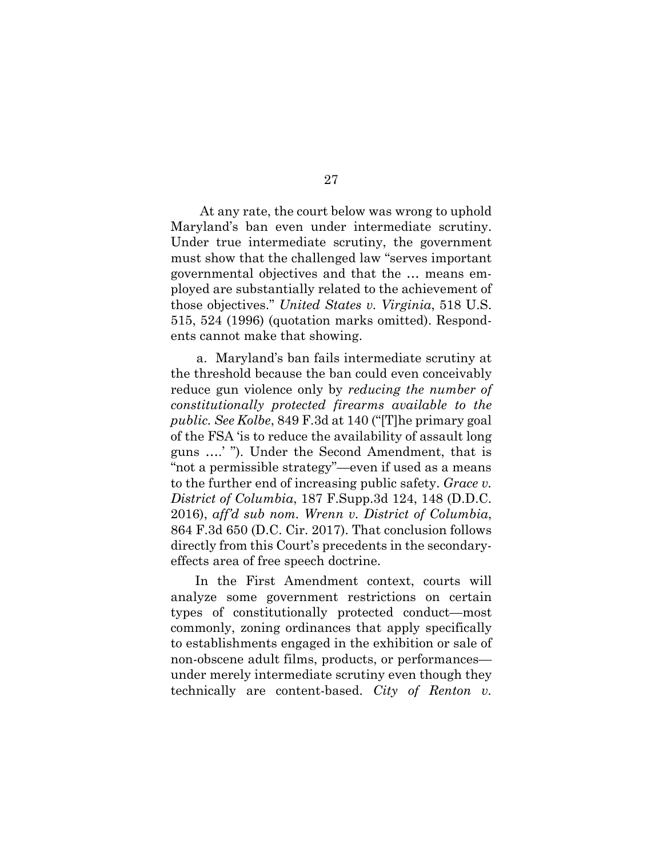At any rate, the court below was wrong to uphold Maryland's ban even under intermediate scrutiny. Under true intermediate scrutiny, the government must show that the challenged law "serves important governmental objectives and that the … means employed are substantially related to the achievement of those objectives." *United States v. Virginia*, 518 U.S. 515, 524 (1996) (quotation marks omitted). Respondents cannot make that showing.

a. Maryland's ban fails intermediate scrutiny at the threshold because the ban could even conceivably reduce gun violence only by *reducing the number of constitutionally protected firearms available to the public. See Kolbe*, 849 F.3d at 140 ("[T]he primary goal of the FSA 'is to reduce the availability of assault long guns ….' "). Under the Second Amendment, that is "not a permissible strategy"—even if used as a means to the further end of increasing public safety. *Grace v. District of Columbia*, 187 F.Supp.3d 124, 148 (D.D.C. 2016), *aff'd sub nom. Wrenn v. District of Columbia*, 864 F.3d 650 (D.C. Cir. 2017). That conclusion follows directly from this Court's precedents in the secondaryeffects area of free speech doctrine.

In the First Amendment context, courts will analyze some government restrictions on certain types of constitutionally protected conduct—most commonly, zoning ordinances that apply specifically to establishments engaged in the exhibition or sale of non-obscene adult films, products, or performances under merely intermediate scrutiny even though they technically are content-based. *City of Renton v.*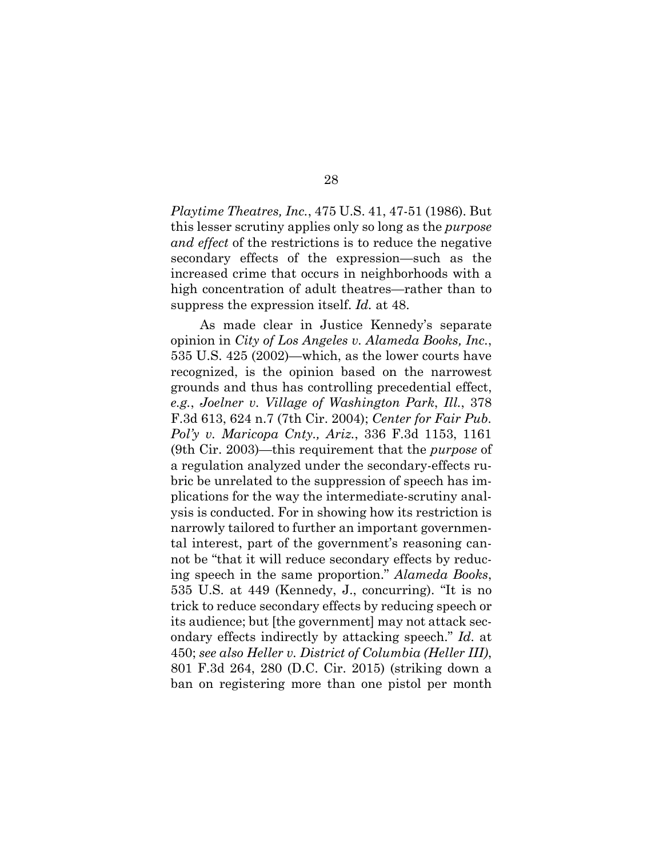*Playtime Theatres, Inc.*, 475 U.S. 41, 47-51 (1986). But this lesser scrutiny applies only so long as the *purpose and effect* of the restrictions is to reduce the negative secondary effects of the expression—such as the increased crime that occurs in neighborhoods with a high concentration of adult theatres—rather than to suppress the expression itself. *Id.* at 48.

As made clear in Justice Kennedy's separate opinion in *City of Los Angeles v. Alameda Books, Inc.*, 535 U.S. 425 (2002)—which, as the lower courts have recognized, is the opinion based on the narrowest grounds and thus has controlling precedential effect, *e.g.*, *Joelner v. Village of Washington Park*, *Ill.*, 378 F.3d 613, 624 n.7 (7th Cir. 2004); *Center for Fair Pub. Pol'y v. Maricopa Cnty., Ariz.*, 336 F.3d 1153, 1161 (9th Cir. 2003)—this requirement that the *purpose* of a regulation analyzed under the secondary-effects rubric be unrelated to the suppression of speech has implications for the way the intermediate-scrutiny analysis is conducted. For in showing how its restriction is narrowly tailored to further an important governmental interest, part of the government's reasoning cannot be "that it will reduce secondary effects by reducing speech in the same proportion." *Alameda Books*, 535 U.S. at 449 (Kennedy, J., concurring). "It is no trick to reduce secondary effects by reducing speech or its audience; but [the government] may not attack secondary effects indirectly by attacking speech." *Id.* at 450; *see also Heller v. District of Columbia (Heller III)*, 801 F.3d 264, 280 (D.C. Cir. 2015) (striking down a ban on registering more than one pistol per month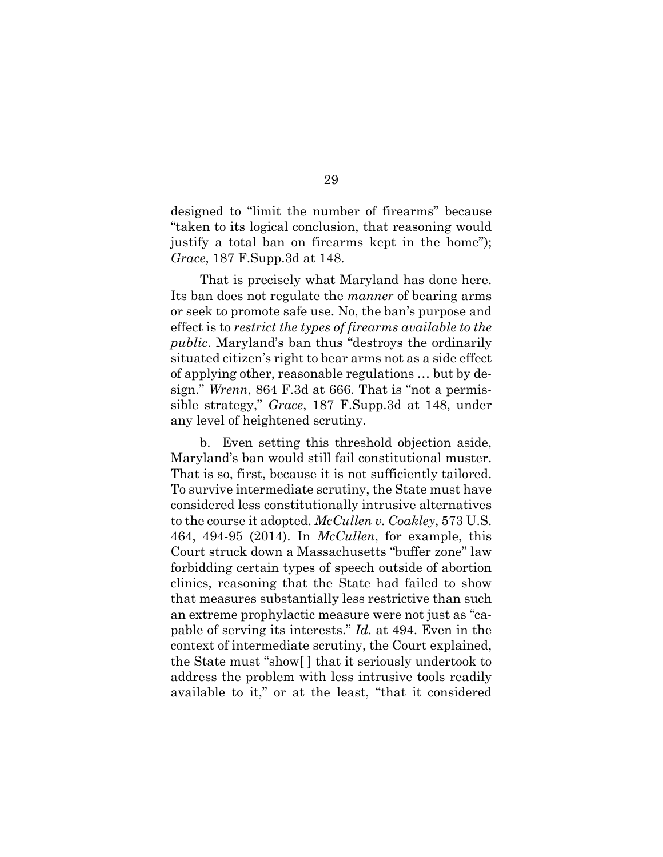designed to "limit the number of firearms" because "taken to its logical conclusion, that reasoning would justify a total ban on firearms kept in the home"); *Grace*, 187 F.Supp.3d at 148.

That is precisely what Maryland has done here. Its ban does not regulate the *manner* of bearing arms or seek to promote safe use. No, the ban's purpose and effect is to *restrict the types of firearms available to the public*. Maryland's ban thus "destroys the ordinarily situated citizen's right to bear arms not as a side effect of applying other, reasonable regulations … but by design." *Wrenn*, 864 F.3d at 666. That is "not a permissible strategy," *Grace*, 187 F.Supp.3d at 148, under any level of heightened scrutiny.

b. Even setting this threshold objection aside, Maryland's ban would still fail constitutional muster. That is so, first, because it is not sufficiently tailored. To survive intermediate scrutiny, the State must have considered less constitutionally intrusive alternatives to the course it adopted. *McCullen v. Coakley*, 573 U.S. 464, 494-95 (2014). In *McCullen*, for example, this Court struck down a Massachusetts "buffer zone" law forbidding certain types of speech outside of abortion clinics, reasoning that the State had failed to show that measures substantially less restrictive than such an extreme prophylactic measure were not just as "capable of serving its interests." *Id.* at 494. Even in the context of intermediate scrutiny, the Court explained, the State must "show[ ] that it seriously undertook to address the problem with less intrusive tools readily available to it," or at the least, "that it considered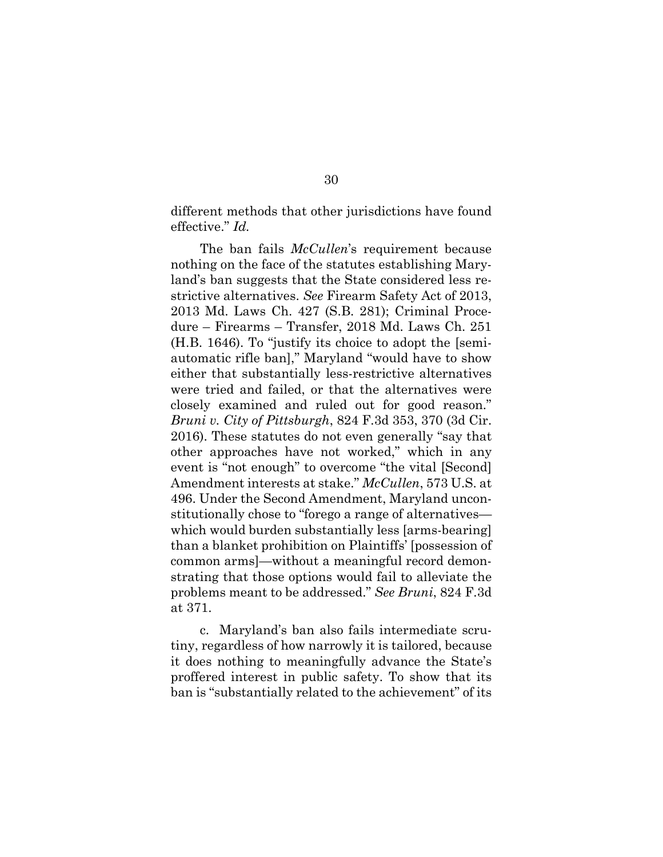different methods that other jurisdictions have found effective." *Id.*

The ban fails *McCullen*'s requirement because nothing on the face of the statutes establishing Maryland's ban suggests that the State considered less restrictive alternatives. *See* Firearm Safety Act of 2013, 2013 Md. Laws Ch. 427 (S.B. 281); Criminal Procedure – Firearms – Transfer, 2018 Md. Laws Ch. 251 (H.B. 1646). To "justify its choice to adopt the [semiautomatic rifle ban]," Maryland "would have to show either that substantially less-restrictive alternatives were tried and failed, or that the alternatives were closely examined and ruled out for good reason." *Bruni v. City of Pittsburgh*, 824 F.3d 353, 370 (3d Cir. 2016). These statutes do not even generally "say that other approaches have not worked," which in any event is "not enough" to overcome "the vital [Second] Amendment interests at stake." *McCullen*, 573 U.S. at 496. Under the Second Amendment, Maryland unconstitutionally chose to "forego a range of alternatives which would burden substantially less [arms-bearing] than a blanket prohibition on Plaintiffs' [possession of common arms]—without a meaningful record demonstrating that those options would fail to alleviate the problems meant to be addressed." *See Bruni*, 824 F.3d at 371.

c. Maryland's ban also fails intermediate scrutiny, regardless of how narrowly it is tailored, because it does nothing to meaningfully advance the State's proffered interest in public safety. To show that its ban is "substantially related to the achievement" of its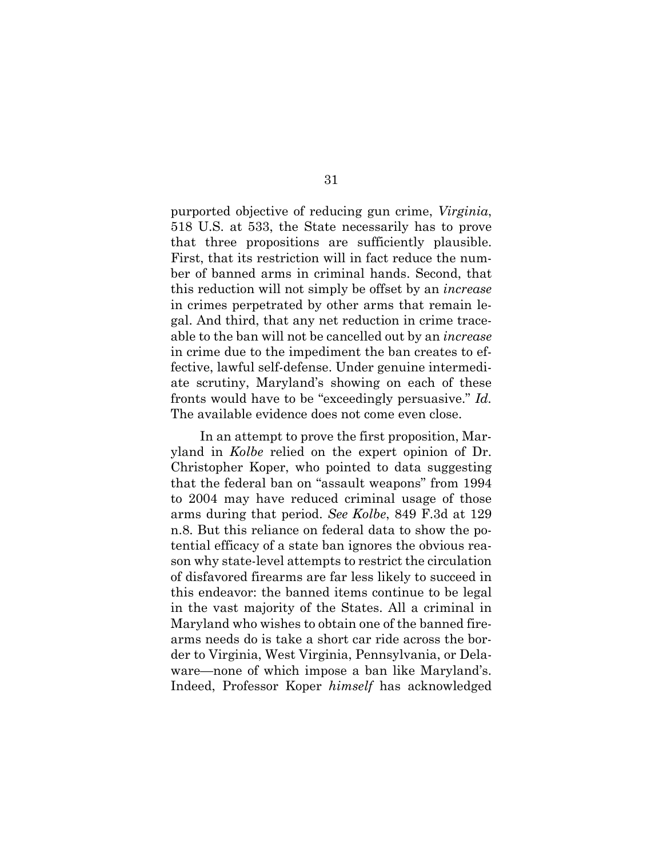purported objective of reducing gun crime, *Virginia*, 518 U.S. at 533, the State necessarily has to prove that three propositions are sufficiently plausible. First, that its restriction will in fact reduce the number of banned arms in criminal hands. Second, that this reduction will not simply be offset by an *increase* in crimes perpetrated by other arms that remain legal. And third, that any net reduction in crime traceable to the ban will not be cancelled out by an *increase* in crime due to the impediment the ban creates to effective, lawful self-defense. Under genuine intermediate scrutiny, Maryland's showing on each of these fronts would have to be "exceedingly persuasive." *Id.* The available evidence does not come even close.

In an attempt to prove the first proposition, Maryland in *Kolbe* relied on the expert opinion of Dr. Christopher Koper, who pointed to data suggesting that the federal ban on "assault weapons" from 1994 to 2004 may have reduced criminal usage of those arms during that period. *See Kolbe*, 849 F.3d at 129 n.8. But this reliance on federal data to show the potential efficacy of a state ban ignores the obvious reason why state-level attempts to restrict the circulation of disfavored firearms are far less likely to succeed in this endeavor: the banned items continue to be legal in the vast majority of the States. All a criminal in Maryland who wishes to obtain one of the banned firearms needs do is take a short car ride across the border to Virginia, West Virginia, Pennsylvania, or Delaware—none of which impose a ban like Maryland's. Indeed, Professor Koper *himself* has acknowledged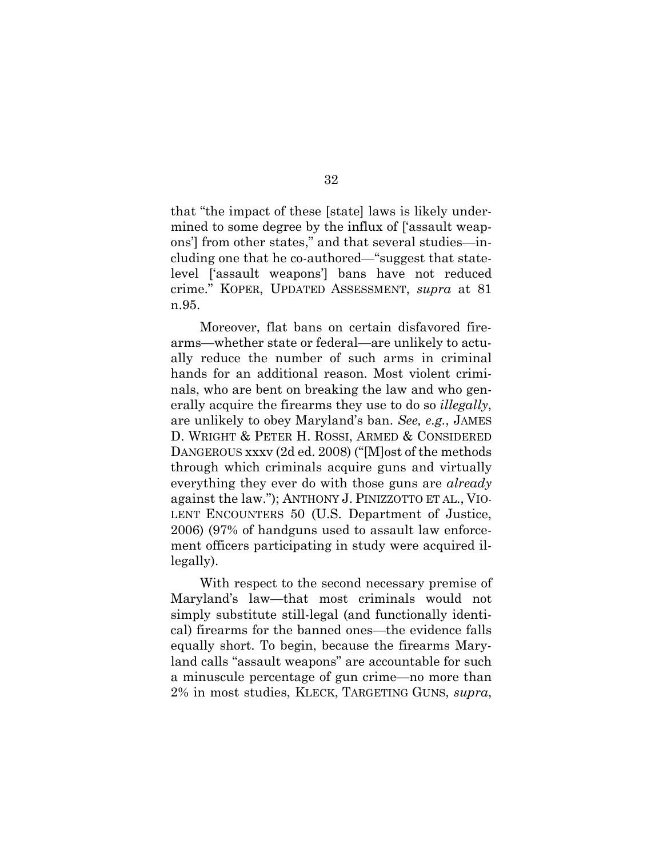that "the impact of these [state] laws is likely undermined to some degree by the influx of ['assault weapons'] from other states," and that several studies—including one that he co-authored—"suggest that statelevel ['assault weapons'] bans have not reduced crime." KOPER, UPDATED ASSESSMENT, *supra* at 81 n.95.

Moreover, flat bans on certain disfavored firearms—whether state or federal—are unlikely to actually reduce the number of such arms in criminal hands for an additional reason. Most violent criminals, who are bent on breaking the law and who generally acquire the firearms they use to do so *illegally*, are unlikely to obey Maryland's ban. *See, e.g.*, JAMES D. WRIGHT & PETER H. ROSSI, ARMED & CONSIDERED DANGEROUS xxxv (2d ed. 2008) ("[M]ost of the methods through which criminals acquire guns and virtually everything they ever do with those guns are *already* against the law."); ANTHONY J. PINIZZOTTO ET AL., VIO-LENT ENCOUNTERS 50 (U.S. Department of Justice, 2006) (97% of handguns used to assault law enforcement officers participating in study were acquired illegally).

With respect to the second necessary premise of Maryland's law—that most criminals would not simply substitute still-legal (and functionally identical) firearms for the banned ones—the evidence falls equally short. To begin, because the firearms Maryland calls "assault weapons" are accountable for such a minuscule percentage of gun crime—no more than 2% in most studies, KLECK, TARGETING GUNS, *supra*,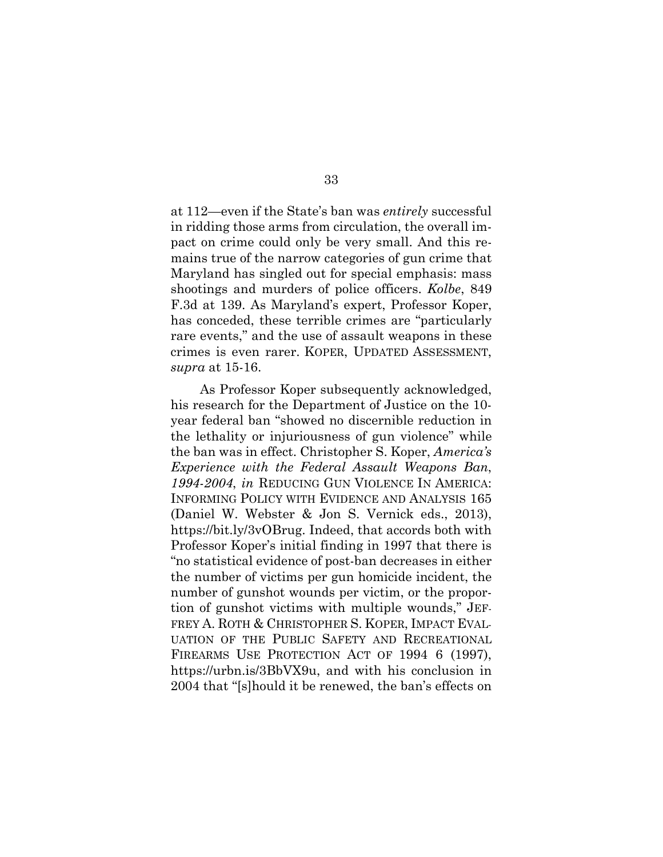at 112—even if the State's ban was *entirely* successful in ridding those arms from circulation, the overall impact on crime could only be very small. And this remains true of the narrow categories of gun crime that Maryland has singled out for special emphasis: mass shootings and murders of police officers. *Kolbe*, 849 F.3d at 139. As Maryland's expert, Professor Koper, has conceded, these terrible crimes are "particularly rare events," and the use of assault weapons in these crimes is even rarer. KOPER, UPDATED ASSESSMENT, *supra* at 15-16.

As Professor Koper subsequently acknowledged, his research for the Department of Justice on the 10 year federal ban "showed no discernible reduction in the lethality or injuriousness of gun violence" while the ban was in effect. Christopher S. Koper, *America's Experience with the Federal Assault Weapons Ban*, *1994-2004*, *in* REDUCING GUN VIOLENCE IN AMERICA: INFORMING POLICY WITH EVIDENCE AND ANALYSIS 165 (Daniel W. Webster & Jon S. Vernick eds., 2013), https://bit.ly/3vOBrug. Indeed, that accords both with Professor Koper's initial finding in 1997 that there is "no statistical evidence of post-ban decreases in either the number of victims per gun homicide incident, the number of gunshot wounds per victim, or the proportion of gunshot victims with multiple wounds," JEF-FREY A. ROTH & CHRISTOPHER S. KOPER, IMPACT EVAL-UATION OF THE PUBLIC SAFETY AND RECREATIONAL FIREARMS USE PROTECTION ACT OF 1994 6 (1997), https://urbn.is/3BbVX9u, and with his conclusion in 2004 that "[s]hould it be renewed, the ban's effects on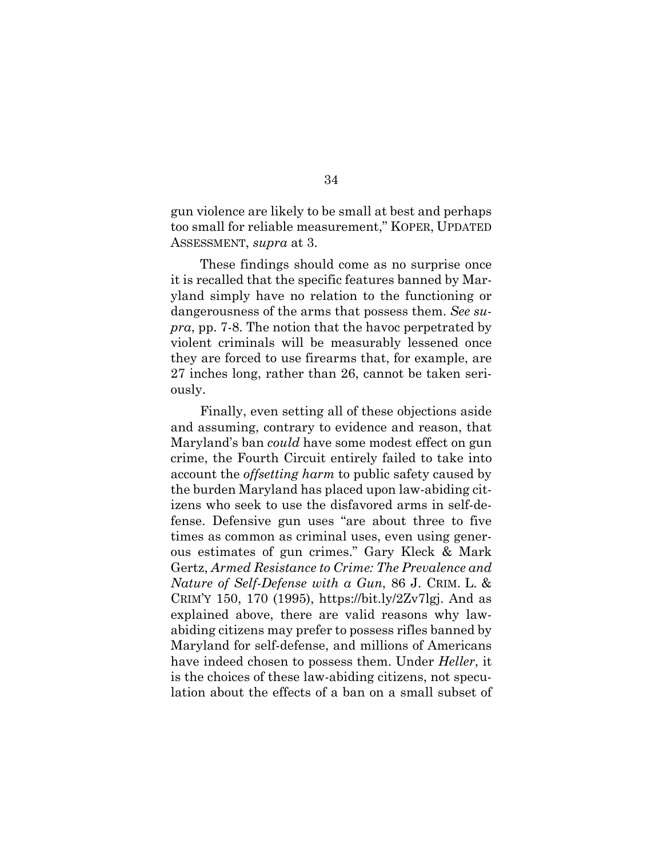gun violence are likely to be small at best and perhaps too small for reliable measurement," KOPER, UPDATED ASSESSMENT, *supra* at 3.

These findings should come as no surprise once it is recalled that the specific features banned by Maryland simply have no relation to the functioning or dangerousness of the arms that possess them. *See supra*, pp. 7-8. The notion that the havoc perpetrated by violent criminals will be measurably lessened once they are forced to use firearms that, for example, are 27 inches long, rather than 26, cannot be taken seriously.

Finally, even setting all of these objections aside and assuming, contrary to evidence and reason, that Maryland's ban *could* have some modest effect on gun crime, the Fourth Circuit entirely failed to take into account the *offsetting harm* to public safety caused by the burden Maryland has placed upon law-abiding citizens who seek to use the disfavored arms in self-defense. Defensive gun uses "are about three to five times as common as criminal uses, even using generous estimates of gun crimes." Gary Kleck & Mark Gertz, *Armed Resistance to Crime: The Prevalence and Nature of Self-Defense with a Gun*, 86 J. CRIM. L. & CRIM'Y 150, 170 (1995), https://bit.ly/2Zv7lgj. And as explained above, there are valid reasons why lawabiding citizens may prefer to possess rifles banned by Maryland for self-defense, and millions of Americans have indeed chosen to possess them. Under *Heller*, it is the choices of these law-abiding citizens, not speculation about the effects of a ban on a small subset of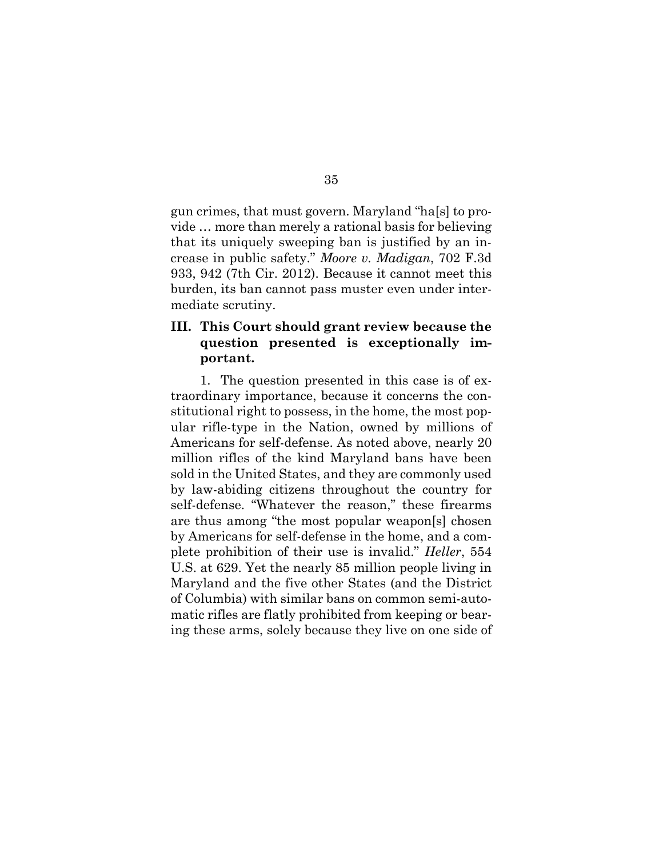gun crimes, that must govern. Maryland "ha[s] to provide … more than merely a rational basis for believing that its uniquely sweeping ban is justified by an increase in public safety." *Moore v. Madigan*, 702 F.3d 933, 942 (7th Cir. 2012). Because it cannot meet this burden, its ban cannot pass muster even under intermediate scrutiny.

## **III. This Court should grant review because the question presented is exceptionally important.**

1. The question presented in this case is of extraordinary importance, because it concerns the constitutional right to possess, in the home, the most popular rifle-type in the Nation, owned by millions of Americans for self-defense. As noted above, nearly 20 million rifles of the kind Maryland bans have been sold in the United States, and they are commonly used by law-abiding citizens throughout the country for self-defense. "Whatever the reason," these firearms are thus among "the most popular weapon[s] chosen by Americans for self-defense in the home, and a complete prohibition of their use is invalid." *Heller*, 554 U.S. at 629. Yet the nearly 85 million people living in Maryland and the five other States (and the District of Columbia) with similar bans on common semi-automatic rifles are flatly prohibited from keeping or bearing these arms, solely because they live on one side of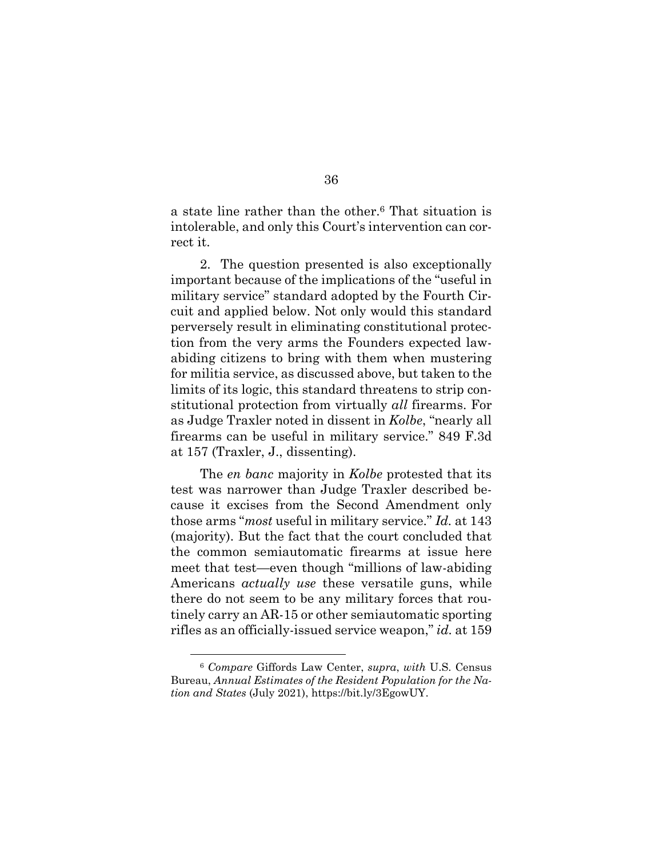a state line rather than the other.6 That situation is intolerable, and only this Court's intervention can correct it.

2. The question presented is also exceptionally important because of the implications of the "useful in military service" standard adopted by the Fourth Circuit and applied below. Not only would this standard perversely result in eliminating constitutional protection from the very arms the Founders expected lawabiding citizens to bring with them when mustering for militia service, as discussed above, but taken to the limits of its logic, this standard threatens to strip constitutional protection from virtually *all* firearms. For as Judge Traxler noted in dissent in *Kolbe*, "nearly all firearms can be useful in military service." 849 F.3d at 157 (Traxler, J., dissenting).

The *en banc* majority in *Kolbe* protested that its test was narrower than Judge Traxler described because it excises from the Second Amendment only those arms "*most* useful in military service." *Id.* at 143 (majority). But the fact that the court concluded that the common semiautomatic firearms at issue here meet that test—even though "millions of law-abiding Americans *actually use* these versatile guns, while there do not seem to be any military forces that routinely carry an AR-15 or other semiautomatic sporting rifles as an officially-issued service weapon," *id.* at 159

<sup>6</sup> *Compare* Giffords Law Center, *supra*, *with* U.S. Census Bureau, *Annual Estimates of the Resident Population for the Nation and States* (July 2021), https://bit.ly/3EgowUY.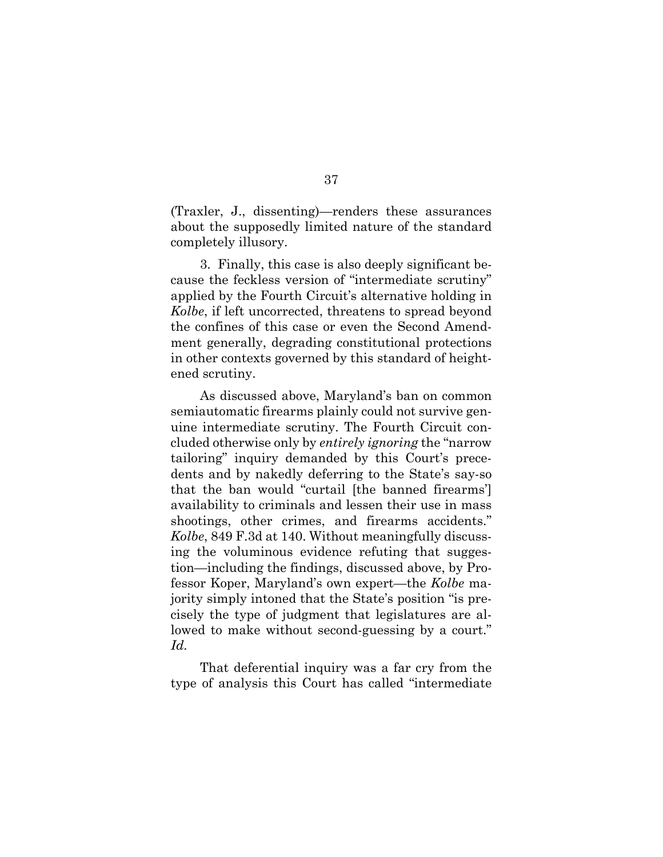(Traxler, J., dissenting)—renders these assurances about the supposedly limited nature of the standard completely illusory.

3. Finally, this case is also deeply significant because the feckless version of "intermediate scrutiny" applied by the Fourth Circuit's alternative holding in *Kolbe*, if left uncorrected, threatens to spread beyond the confines of this case or even the Second Amendment generally, degrading constitutional protections in other contexts governed by this standard of heightened scrutiny.

As discussed above, Maryland's ban on common semiautomatic firearms plainly could not survive genuine intermediate scrutiny. The Fourth Circuit concluded otherwise only by *entirely ignoring* the "narrow tailoring" inquiry demanded by this Court's precedents and by nakedly deferring to the State's say-so that the ban would "curtail [the banned firearms'] availability to criminals and lessen their use in mass shootings, other crimes, and firearms accidents." *Kolbe*, 849 F.3d at 140. Without meaningfully discussing the voluminous evidence refuting that suggestion—including the findings, discussed above, by Professor Koper, Maryland's own expert—the *Kolbe* majority simply intoned that the State's position "is precisely the type of judgment that legislatures are allowed to make without second-guessing by a court." *Id.* 

That deferential inquiry was a far cry from the type of analysis this Court has called "intermediate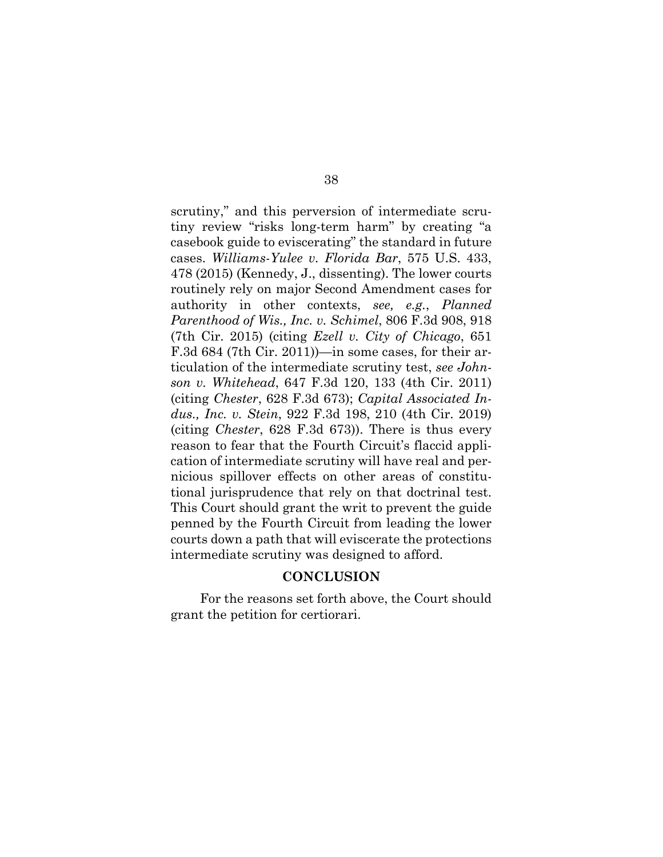scrutiny," and this perversion of intermediate scrutiny review "risks long-term harm" by creating "a casebook guide to eviscerating" the standard in future cases. *Williams-Yulee v. Florida Bar*, 575 U.S. 433, 478 (2015) (Kennedy, J., dissenting). The lower courts routinely rely on major Second Amendment cases for authority in other contexts, *see, e.g.*, *Planned Parenthood of Wis., Inc. v. Schimel*, 806 F.3d 908, 918 (7th Cir. 2015) (citing *Ezell v. City of Chicago*, 651 F.3d 684 (7th Cir. 2011))—in some cases, for their articulation of the intermediate scrutiny test, *see Johnson v. Whitehead*, 647 F.3d 120, 133 (4th Cir. 2011) (citing *Chester*, 628 F.3d 673); *Capital Associated Indus., Inc. v. Stein*, 922 F.3d 198, 210 (4th Cir. 2019) (citing *Chester*, 628 F.3d 673)). There is thus every reason to fear that the Fourth Circuit's flaccid application of intermediate scrutiny will have real and pernicious spillover effects on other areas of constitutional jurisprudence that rely on that doctrinal test. This Court should grant the writ to prevent the guide penned by the Fourth Circuit from leading the lower courts down a path that will eviscerate the protections intermediate scrutiny was designed to afford.

#### **CONCLUSION**

For the reasons set forth above, the Court should grant the petition for certiorari.